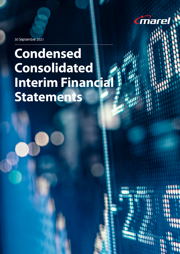

30 September 2021

# **Condensed Consolidated Interim Financia Statements**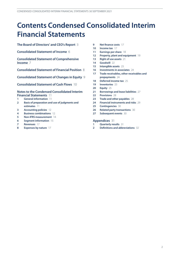## **Contents Condensed Consolidated Interim Financial Statements**

**[The Board of Directors' and CEO's Report](#page-2-0)** 3

**[Consolidated Statement of Income](#page-5-0)** 6

**[Consolidated Statement of Comprehensive](#page-6-0)  [Income](#page-6-0)** 7

**[Consolidated Statement of Financial Position](#page-7-0)** 8

**[Consolidated Statement of Changes in Equity](#page-8-0)** 9

**[Consolidated Statement of Cash Flows](#page-9-0)** 10

#### **[Notes to the Condensed Consolidated Interim](#page-10-0) [Financial Statements](#page-10-0)** 11

- **[General information](#page-10-0)** 11
- **[Basis of preparation and use of judgments and](#page-10-0)  [estimates](#page-10-0)** 11
- **[Accounting policies](#page-11-0)** 12
- **[Business combinations](#page-11-0)** 12
- **[Non-IFRS measurement](#page-13-0)** 14
- **[Segment information](#page-14-0)** 15
- **[Revenues](#page-16-0)** 17
- **[Expenses by nature](#page-16-0)** 17
- **[Net finance costs](#page-16-0)** 17
- **[Income tax](#page-16-0)** 17
- **[Earnings per share](#page-17-0)** 18
- **[Property, plant and equipment](#page-18-0)** 19
- **[Right of use assets](#page-20-0)** 21
- **[Goodwill](#page-21-0)** 22
- **[Intangible assets](#page-22-0)** 23
- **[Investments in associates](#page-23-0)** 24
- **[Trade receivables, other receivables and](#page-23-0) [prepayments](#page-23-0)** 24
- **[Deferred income tax](#page-24-0)** 25
- **[Inventories](#page-24-0)** 25
- **[Equity](#page-24-0)** 25
- **[Borrowings and lease liabilities](#page-26-0)** 27
- **[Provisions](#page-27-0)** 28
- **[Trade and other payables](#page-27-0)** 28
- **[Financial instruments and risks](#page-28-0)** 29
- **[Contingencies](#page-29-0)** 30
- **[Related party transactions](#page-29-0)** 30
- **[Subsequent events](#page-29-0)** 30

#### **[Appendices](#page-30-0)** 31

- **[Quarterly results](#page-30-0)** 31
- **[Definitions and abbreviations](#page-31-0)** 32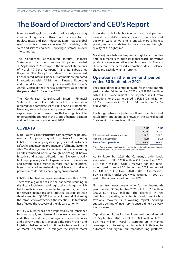## <span id="page-2-0"></span>**The Board of Directors' and CEO's Report**

Marel is a leading global provider of advanced processing equipment, systems, software and services to the poultry, meat and fish industries. Marel has a global reach with local presence in over 30 countries, with sales and service engineers servicing customers in over 140 countries.

The Condensed Consolidated Interim Financial Statements for the nine-month period ended 30 September 2021 comprise the financial statements of Marel hf. ("the Company") and its subsidiaries (together "the Group" or "Marel"). The Condensed Consolidated Interim Financial Statements are prepared in accordance with IAS 34 Interim Financial Reporting and should be read in conjunction with the Group's Annual Consolidated Financial Statements as at and for the year ended 31 December 2020.

The Condensed Consolidated Interim Financial Statements do not include all of the information required for a complete set of IFRS financial statements. However, selected explanatory notes are included to explain events and transactions that are significant to understand the changes in the Group's financial position and performance from year end 2020.

### **COVID-19**

Marel is a critical infrastructure company for the poultry, meat and fish processing industry. Marel's focus during COVID-19 is on keeping its employees and customers safe, while maintaining productivity of all manufacturing sites. Marel reorganized its manufacturing sites ensuring all sites remained open, although operating at below historical and targeted utilization rates. By systematically building up safety stock of spare parts across locations and having local presence in more than 30 countries, Marel managed to maintain good levels of delivery performance despite a challenging environment.

COVID-19 has had an impact on Marel's results in 2021. There was a global peak in the pandemic resulting in significant lockdowns and logistical challenges, which led to inefficiencies in manufacturing and higher costs for service operations and logistics. Despite positive developmentsin Q2 2021 in parts of the world following the introduction of vaccines, the infectious Delta variant has affected the recovery of the global economy.

In Q3 2021, Marel has been impacted by an imbalance between supply and demand for electronic components and other rawmaterials, resulting in an increase in prices and delivery times. It is expected the supply chain and logistics challenges will continue to have an impact on Marel's operations. To mitigate the impact, Marel

is working with its highly talented team and partners around the world to resolve imbalances; innovation and agility in ways of working is critical. Marel's highest priority remains to deliver to our customers the right quality, at the right time.

Marel enjoys a balanced exposure to global economies and local markets through its global reach, innovative product portfolio and diversified business mix. There is clear demand for increased automation. Marel's balance sheet and cash flow remain strong.

### **Operations in the nine-month period ended 30 September 2021**

The consolidated revenues for Marel for the nine-month period ended 30 September 2021 are EUR 993.4 million (2020: EUR 894.5 million). The adjusted result from operations for the same period is EUR 112.6 million or 11.3% of revenues (2020: EUR 114.5 million or 12.8% of revenues).

The bridge between adjusted result from operations and result from operations as shown in the Consolidated Statement of Income is as follows:

|                                              | <b>YTD</b> | YTD   |
|----------------------------------------------|------------|-------|
|                                              | 2021       | 2020  |
| Adjusted result from operations <sup>1</sup> | 112.6      | 114.5 |
| Non-IFRS adjustments                         | (18.1)     | (7.9) |
| <b>Result from operations</b>                | 94.5       | 106.6 |

1 Result from operations is adjusted for PPA related costs, including depreciation and amortization, and as of Q4 2020, acquisition related expenses.

At 30 September 2021 the Company's order book amounted to EUR 527.8 million (31 December 2020: EUR 415.7 million). Orders received for the ninemonth period ended 30 September 2021 amounted to EUR 1,101.3 million (2020: EUR 914.4 million). EUR 4.2 million order book was acquired in 2021 as part of the acquisition of Curio and PMJ.

Net cash from operating activities for the nine-month period ended 30 September 2021 is EUR 132.6 million (2020: EUR 147.2 million). The decrease in net cash from operating activities is mainly due to less favorable movements in working capital including strategic buildup of inventory to ensure timely delivery to customers.

Capital expenditures for the nine-month period ended 30 September 2021 are EUR 50.3 million (2020: EUR 46.5 million). Marel is stepping up in market coverage and focusing on important initiatives to automate and digitize our manufacturing platform,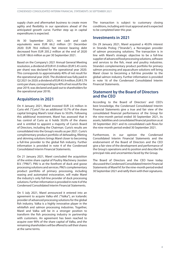supply chain and aftermarket business to create more agility and flexibility in our operations ahead of the anticipated growth curve. Further step up in capital expenditures is expected.

At 30 September 2021, net cash and cash equivalents were EUR 66.2 million (31 December 2020: EUR 78.6 million). Net interest bearing debt decreased from EUR 205.2 million at the end of 2020 to EUR 186.6 million as per 30 September 2021.

Based on the Company's 2021 Annual General Meeting resolution, a dividend of EUR 41.0million (EUR 5.45 cents per share) was declared for the operational year 2020. This corresponds to approximately 40% of net result for the operational year 2020. The dividend wasfully paid in Q2 2021 (in 2020: a dividend of EUR 43.9million, EUR 5.79 cents per share, corresponding to 40% of net result for the year 2019, was declared and paid out to shareholders for the operational year 2019).

### **Acquisitions in 2021**

On 4 January 2021, Marel invested EUR 2.6 million in Curio ehf. ("Curio") for an additional 10.7% of the share capital bringing Marel's total share to 50.0%. Following this additional investment, Marel has assessed that it has control of Curio as it holds 50.0% of the shares and is entitled to appoint a majority of Curio's Board of Directors, including the Chairman. Curio's results are consolidated into the Group's results as per 2021. Curio's complimentary product portfolio of deheading, filleting and skinning solutions brings Marel closer to becoming a full-line provider to the global fish industry. Further information is provided in note 4 of the Condensed Consolidated Interim Financial Statements.

On 21 January 2021, Marel concluded the acquisition of the entire share capital of Poultry Machinery Joosten B.V. ("PMJ"). PMJ is at the forefront of duck and goose processing solutions and services. PMJ's complementary product portfolio of primary processing, including waxing and automated evisceration, will make Marel the industry's only full-line provider of duck processing solutions. Further information is provided in note 4 of the Condensed Consolidated Interim Financial Statements.

On 5 July 2021, Marel announced it entered into an agreement to acquire Valka ehf. ("Valka"), an Icelandic provider of advanced processing solutions for the global fish industry. Valka is a highly innovative player in the whitefish and salmon processing industries. Together, Marel and Valka will be in a stronger position to transform the fish processing industry in partnership with customers. An agreement has been reached to acquire over 90% of the share capital of Valka, and the remaining shareholders will be offered to sell their shares at the same terms.

The transaction is subject to customary closing conditions, including anti-trust approval and is expected to be completed later this year.

### **Investments in 2021**

On 29 January 2021, Marel acquired a 40.0% interest in Stranda Prolog ("Stranda"), a Norwegian provider of salmon processing solutions. The transaction is in line with Marel's strategic objective to be a full-line supplier of advanced food processing solutions, software and services to the fish, meat and poultry industries. Stranda's complementary product portfolio for primary salmon processing and aquaculture solutions will bring Marel closer to becoming a full-line provider to the global salmon industry. Further information is provided in note 16 of the Condensed Consolidated Interim Financial Statements.

### **Statement by the Board of Directors and the CEO**

According to the Board of Directors' and CEO's best knowledge, the Condensed Consolidated Interim Financial Statements give a true and fair view of the consolidated financial performance of the Group for the nine-month period ended 30 September 2021, its assets, liabilities and consolidated financial position as at 30 September 2021 and its consolidated cash flows for the nine-month period ended 30 September 2021.

Furthermore, in our opinion the Condensed Consolidated Interim Financial Statements and the endorsement of the Board of Directors and the CEO give a fair view of the development and performance of the Group's operations and its position and describe the principal risks and uncertainties faced by the Group.

The Board of Directors and the CEO have today discussed the Condensed Consolidated Interim Financial Statements of Marel hf. for the nine-month period ended 30 September 2021 and ratify them with their signatures.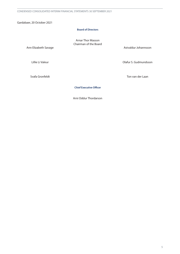Gardabaer, 20 October 2021

#### **Board of Directors**

Arnar Thor Masson Chairman of the Board

Ann Elizabeth Savage

Lillie Li Valeur

Astvaldur Johannsson

Olafur S. Gudmundsson

Svafa Gronfeldt

Ton van der Laan

**Chief Executive Officer**

Arni Oddur Thordarson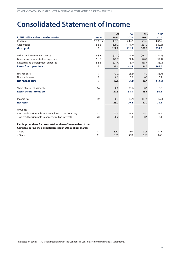## <span id="page-5-0"></span>**Consolidated Statement of Income**

|                                                                   |              | Q <sub>3</sub> | Q <sub>3</sub> | <b>YTD</b> | <b>YTD</b> |
|-------------------------------------------------------------------|--------------|----------------|----------------|------------|------------|
| In EUR million unless stated otherwise                            | <b>Notes</b> | 2021           | 2020           | 2021       | 2020       |
| Revenues                                                          | 5&6&7        | 331.9          | 287.2          | 993.4      | 894.5      |
| Cost of sales                                                     | 5 & 8        | (209.0)        | (174.7)        | (631.2)    | (560.5)    |
| <b>Gross profit</b>                                               | 5            | 122.9          | 112.5          | 362.2      | 334.0      |
| Selling and marketing expenses                                    | 5 & 8        | (47.2)         | (32.8)         | (132.1)    | (109.4)    |
| General and administrative expenses                               | 5 & 8        | (22.9)         | (21.4)         | (70.2)     | (64.1)     |
| Research and development expenses                                 | 5 & 8        | (21.4)         | (16.9)         | (65.4)     | (53.9)     |
| <b>Result from operations</b>                                     | 5            | 31.4           | 41.4           | 94.5       | 106.6      |
| Finance costs                                                     | 9            | (2.2)          | (3.2)          | (8.7)      | (13.7)     |
| Finance income                                                    | 9            | 0.1            | 0.0            | 0.3        | 0.2        |
| <b>Net finance costs</b>                                          | 9            | (2.1)          | (3.2)          | (8.4)      | (13.5)     |
| Share of result of associates                                     | 16           | 0.0            | (0.1)          | (0.5)      | 0.0        |
| <b>Result before income tax</b>                                   |              | 29.3           | 38.1           | 85.6       | 93.1       |
| Income tax                                                        | 10           | (6.1)          | (8.7)          | (17.9)     | (19.6)     |
| <b>Net result</b>                                                 |              | 23.2           | 29.4           | 67.7       | 73.5       |
| Of which:                                                         |              |                |                |            |            |
| - Net result attributable to Shareholders of the Company          | 11           | 23.4           | 29.4           | 68.2       | 73.4       |
| - Net result attributable to non-controlling interests            | 20           | (0.2)          | 0.0            | (0.5)      | 0.1        |
| Earnings per share for result attributable to Shareholders of the |              |                |                |            |            |
| Company during the period (expressed in EUR cent per share):      |              |                |                |            |            |
| - Basic                                                           | 11           | 3.10           | 3.93           | 9.05       | 9.75       |
| - Diluted                                                         | 11           | 3.08           | 3.90           | 8.97       | 9.68       |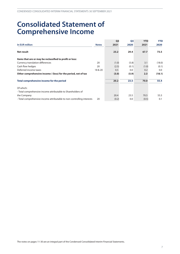## <span id="page-6-0"></span>**Consolidated Statement of Comprehensive Income**

|                                                                        |              | Q <sub>3</sub> | Q <sub>3</sub> | <b>YTD</b> | <b>YTD</b> |
|------------------------------------------------------------------------|--------------|----------------|----------------|------------|------------|
| In EUR million                                                         | <b>Notes</b> | 2021           | 2020           | 2021       | 2020       |
| Net result                                                             |              | 23.2           | 29.4           | 67.7       | 73.5       |
| Items that are or may be reclassified to profit or loss:               |              |                |                |            |            |
| Currency translation differences                                       | 20           | (1.0)          | (5.8)          | 3.1        | (18.0)     |
| Cash flow hedges                                                       | 20           | (2.5)          | (0.1)          | (1.0)      | (0.1)      |
| Deferred income taxes                                                  | 18 & 20      | 0.5            | 0.0            | 0.2        | 0.0        |
| Other comprehensive income / (loss) for the period, net of tax         |              | (3.0)          | (5.9)          | 2.3        | (18.1)     |
| Total comprehensive income for the period                              |              | 20.2           | 23.5           | 70.0       | 55.4       |
| Of which:                                                              |              |                |                |            |            |
| - Total comprehensive income attributable to Shareholders of           |              |                |                |            |            |
| the Company                                                            |              | 20.4           | 23.5           | 70.5       | 55.3       |
| - Total comprehensive income attributable to non-controlling interests | 20           | (0.2)          | 0.0            | (0.5)      | 0.1        |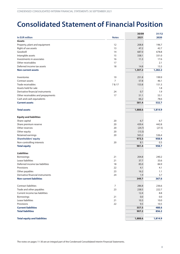## <span id="page-7-0"></span>**Consolidated Statement of Financial Position**

|                                     |                | 30/09   | 31/12   |
|-------------------------------------|----------------|---------|---------|
| In EUR million                      | <b>Notes</b>   | 2021    | 2020    |
| <b>Assets</b>                       |                |         |         |
| Property, plant and equipment       | 12             | 208.8   | 196.7   |
| Right of use assets                 | 13             | 47.2    | 42.7    |
| Goodwill                            | 14             | 687.0   | 678.8   |
| Intangible assets                   | 15             | 338.1   | 331.0   |
| Investments in associates           | 16             | 11.3    | 17.6    |
| Other receivables                   | 17             |         | 2.1     |
| Deferred income tax assets          | 18             | 14.8    | 13.3    |
| <b>Non-current assets</b>           |                | 1,307.2 | 1,282.2 |
| Inventories                         | 19             | 251.8   | 199.9   |
| Contract assets                     | $\overline{7}$ | 57.8    | 46.1    |
| Trade receivables                   | 7 & 17         | 153.8   | 151.3   |
| Assets held for sale                |                |         | 1.8     |
| Derivative financial instruments    | 24             | 0.7     | 1.9     |
| Other receivables and prepayments   | 17             | 51.1    | 53.1    |
| Cash and cash equivalents           |                | 66.2    | 78.6    |
| <b>Current assets</b>               |                | 581.4   | 532.7   |
| <b>Total assets</b>                 |                | 1,888.6 | 1,814.9 |
| <b>Equity and liabilities</b>       |                |         |         |
| Share capital                       | 20             | 6.7     | 6.7     |
| Share premium reserve               | 20             | 439.4   | 442.8   |
| Other reserves                      | 20             | (24.7)  | (27.5)  |
| Other equity                        | 20             | (13.3)  |         |
| Retained earnings                   | 20             | 565.2   | 536.4   |
| <b>Shareholders' equity</b>         |                | 973.3   | 958.4   |
| Non-controlling interests           | 20             | 8.1     | 0.3     |
| <b>Total equity</b>                 |                | 981.4   | 958.7   |
| <b>Liabilities</b>                  |                |         |         |
| <b>Borrowings</b>                   | 21             | 204.8   | 240.2   |
| Lease liabilities                   | 21             | 37.7    | 33.6    |
| Deferred income tax liabilities     | 18             | 85.0    | 84.9    |
| Provisions                          | 22             | 4.1     | 4.1     |
| Other payables                      | 23             | 16.2    | 1.1     |
| Derivative financial instruments    | 24             | 1.9     | 3.7     |
| <b>Non-current liabilities</b>      |                | 349.7   | 367.6   |
| Contract liabilities                | $\overline{7}$ | 286.8   | 236.6   |
| Trade and other payables            | 23             | 238.5   | 222.7   |
| Current income tax liabilities      |                | 12.4    | 8.8     |
| Borrowings                          | 21             | 0.0     | 0.0     |
| Lease liabilities                   | 21             | 10.3    | 10.0    |
| Provisions                          | 22             | 9.5     | 10.5    |
| <b>Current liabilities</b>          |                | 557.5   | 488.6   |
| <b>Total liabilities</b>            |                | 907.2   | 856.2   |
| <b>Total equity and liabilities</b> |                | 1,888.6 | 1,814.9 |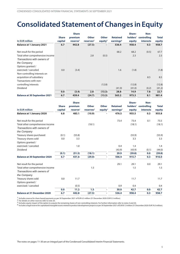## <span id="page-8-0"></span>**Consolidated Statement of Changes in Equity**

|                                     |              | <b>Share</b>         |                       |              |                       | Share-   | Non-             |              |
|-------------------------------------|--------------|----------------------|-----------------------|--------------|-----------------------|----------|------------------|--------------|
|                                     | <b>Share</b> | premium              | <b>Other</b>          | <b>Other</b> | <b>Retained</b>       | holders' | controlling      | <b>Total</b> |
| In EUR million                      | capital      | reserve <sup>1</sup> | reserves <sup>2</sup> | equity $3$   | earnings <sup>4</sup> | equity   | <b>interests</b> | equity       |
| <b>Balance at 1 January 2021</b>    | 6.7          | 442.8                | (27.5)                |              | 536.4                 | 958.4    | 0.3              | 958.7        |
| Net result for the period           |              |                      |                       |              | 68.2                  | 68.2     | (0.5)            | 67.7         |
| Total other comprehensive income    |              |                      | 2.8                   | (0.5)        |                       | 2.3      |                  | 2.3          |
| Transactions with owners of         |              |                      |                       |              |                       |          |                  |              |
| the Company                         |              |                      |                       |              |                       |          |                  |              |
| Options granted /                   |              |                      |                       |              |                       |          |                  |              |
| exercised / canceled                | 0.0          | (3.4)                |                       |              | 1.6                   | (1.8)    |                  | (1.8)        |
| Non-controlling interests on        |              |                      |                       |              |                       |          |                  |              |
| acquisition of subsidiary           |              |                      |                       |              |                       |          | 8.5              | 8.5          |
| Transactions with non-              |              |                      |                       |              |                       |          |                  |              |
| controlling interests               |              |                      |                       | (12.8)       |                       | (12.8)   |                  | (12.8)       |
| Dividend                            |              |                      |                       |              | (41.0)                | (41.0)   | (0.2)            | (41.2)       |
|                                     | 0.0          | (3.4)                | 2.8                   | (13.3)       | 28.8                  | 14.9     | 7.8              | 22.7         |
| <b>Balance at 30 September 2021</b> | 6.7          | 439.4                | (24.7)                | (13.3)       | 565.2                 | 973.3    | 8.1              | 981.4        |

|                                     |              | <b>Share</b>         |                       |              |                       | Share- | Non-                 |              |
|-------------------------------------|--------------|----------------------|-----------------------|--------------|-----------------------|--------|----------------------|--------------|
|                                     | <b>Share</b> | premium              | <b>Other</b>          | <b>Other</b> | <b>Retained</b>       |        | holders' controlling | <b>Total</b> |
| In EUR million                      | capital      | reserve <sup>1</sup> | reserves <sup>2</sup> | equity $3$   | earnings <sup>4</sup> | equity | <b>interests</b>     | equity       |
| <b>Balance at 1 January 2020</b>    | 6.8          | 483.1                | (10.9)                |              | 476.5                 | 955.5  | 0.3                  | 955.8        |
| Net result for the period           |              |                      |                       |              | 73.4                  | 73.4   | 0.1                  | 73.5         |
| Total other comprehensive income    |              |                      | (18.1)                |              |                       | (18.1) |                      | (18.1)       |
| Transactions with owners of         |              |                      |                       |              |                       |        |                      |              |
| the Company                         |              |                      |                       |              |                       |        |                      |              |
| Treasury shares purchased           | (0.1)        | (55.8)               |                       |              |                       | (55.9) |                      | (55.9)       |
| Treasury shares sold                | 0.0          | 3.3                  |                       |              |                       | 3.3    |                      | 3.3          |
| Options granted /                   |              |                      |                       |              |                       |        |                      |              |
| exercised / canceled                |              | 1.0                  |                       |              | 0.4                   | 1.4    |                      | 1.4          |
| Dividend                            |              |                      |                       |              | (43.9)                | (43.9) | (0.1)                | (44.0)       |
|                                     | (0.1)        | (51.5)               | (18.1)                | ÷,           | 29.9                  | (39.8) | 0.0                  | (39.8)       |
| <b>Balance at 30 September 2020</b> | 6.7          | 431.6                | (29.0)                | ٠            | 506.4                 | 915.7  | 0.3                  | 916.0        |
| Net result for the period           |              |                      |                       |              | 29.1                  | 29.1   | 0.0                  | 29.1         |
| Total other comprehensive income    |              |                      | 1.5                   |              |                       | 1.5    |                      | 1.5          |
| Transactions with owners of         |              |                      |                       |              |                       |        |                      |              |
| the Company                         |              |                      |                       |              |                       |        |                      |              |
| Treasury shares sold                | 0.0          | 11.7                 |                       |              |                       | 11.7   |                      | 11.7         |
| Options granted /                   |              |                      |                       |              |                       |        |                      |              |
| exercised / canceled                |              | (0.5)                |                       |              | 0.9                   | 0.4    |                      | 0.4          |
|                                     | 0.0          | 11.2                 | 1.5                   | ٠            | 30.0                  | 42.7   | 0.0                  | 42.7         |
| <b>Balance at 31 December 2020</b>  | 6.7          | 442.8                | (27.5)                |              | 536.4                 | 958.4  | 0.3                  | 958.7        |

1 Includes reserve for share-based payments as per 30 September 2021 of EUR 6.3 million (31 December 2020: EUR 5.5 million).

<sup>2</sup> For details on other reserves refer to note 20.

<sup>2</sup> For details on other reserves refer to note zo.<br><sup>3</sup> Includes equity impact of the option to acquire the remaining shares of non-controlling interests. For further information refer to notes 4 and 20.

4 Includes a legalreserve for capitalized intangible assetsrelated to product development projects as per 30 September 2021 of EUR 81.3 million (31December 2020: EUR 76.5 million).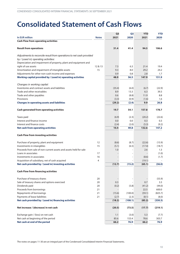## <span id="page-9-0"></span>**Consolidated Statement of Cash Flows**

|                                                                                |              | Q <sub>3</sub> | Q <sub>3</sub> | <b>YTD</b> | <b>YTD</b> |
|--------------------------------------------------------------------------------|--------------|----------------|----------------|------------|------------|
| In EUR million                                                                 | <b>Notes</b> | 2021           | 2020           | 2021       | 2020       |
| <b>Cash Flow from operating activities</b>                                     |              |                |                |            |            |
| <b>Result from operations</b>                                                  |              | 31.4           | 41.4           | 94.5       | 106.6      |
| Adjustments to reconcile result from operations to net cash provided           |              |                |                |            |            |
| by / (used in) operating activities:                                           |              |                |                |            |            |
| Depreciation and impairment of property, plant and equipment and               |              |                |                |            |            |
| right of use assets                                                            | 12 & 13      | 7.3            | 6.3            | 21.4       | 19.4       |
| Amortization and impairment of intangible assets                               | 15           | 9.3            | 8.0            | 29.2       | 24.2       |
| Adjustments for other non-cash income and expenses                             |              | 0.9            | 0.8            | 2.8        | 1.7        |
| Working capital provided by / (used in) operating activities                   |              | 48.9           | 56.5           | 147.9      | 151.9      |
|                                                                                |              |                |                |            |            |
| Changes in working capital:<br>Inventories and contract assets and liabilities |              | (35.4)         | (6.0)          | (6.7)      | (22.9)     |
| Trade and other receivables                                                    |              | 8.9            | 13.3           | 6.3        | 39.3       |
| Trade and other payables                                                       |              | 0.6            | (8.8)          | 11.9       | 8.8        |
| Provisions                                                                     |              | (3.3)          | (0.9)          | (1.6)      | 1.6        |
| <b>Changes in operating assets and liabilities</b>                             |              | (29.2)         | (2.4)          | 9.9        | 26.8       |
|                                                                                |              |                |                |            |            |
| <b>Cash generated from operating activities</b>                                |              | 19.7           | 54.1           | 157.8      | 178.7      |
| Taxes paid                                                                     |              | (6.9)          | (2.3)          | (20.2)     | (22.6)     |
| Interest and finance income                                                    |              | 0.0            | 0.0            | 0.3        | 0.3        |
| Interest and finance costs                                                     |              | (2.4)          | (2.0)          | (5.3)      | (9.2)      |
| <b>Net cash from operating activities</b>                                      |              | 10.4           | 49.8           | 132.6      | 147.2      |
| <b>Cash Flow from investing activities</b>                                     |              |                |                |            |            |
| Purchase of property, plant and equipment                                      | 12           | (8.6)          | (8.7)          | (22.6)     | (15.9)     |
| Investments in intangibles                                                     | 15           | (5.1)          | (6.5)          | (17.4)     | (18.7)     |
| Proceeds from sale of non-current assets and assets held for sale              |              | 1.0            |                | 2.6        | 1.3        |
| Loans in associates                                                            | 17           |                |                |            | (1.0)      |
| Investments in associates                                                      | 16           |                |                | (8.6)      | (1.7)      |
| Acquisition of subsidiary, net of cash acquired                                | 4            |                |                | (19.1)     |            |
| Net cash provided by / (used in) investing activities                          |              | (12.7)         | (15.2)         | (65.1)     | (36.0)     |
| <b>Cash Flow from financing activities</b>                                     |              |                |                |            |            |
| Purchase of treasury shares                                                    | 20           |                |                |            | (55.9)     |
| Sale of treasury shares and options exercised                                  | 20           | 0.3            |                | 0.7        | 3.3        |
| Dividends paid                                                                 | 20           | (0.2)          | (5.8)          | (41.2)     | (44.0)     |
| Proceeds from borrowings                                                       | 21           |                |                | 22.5       | 600.0      |
| Repayments of borrowings                                                       | 21           | (15.6)         | (100.0)        | (59.1)     | (825.7)    |
| Payments of lease liabilities                                                  | 21           | (2.7)          | (2.3)          | (8.1)      | (8.0)      |
| Net cash provided by / (used in) financing activities                          |              | (18.2)         | (108.1)        | (85.2)     | (330.3)    |
| Net increase / (decrease) in net cash                                          |              | (20.5)         | (73.5)         | (17.7)     | (219.1)    |
| Exchange gain / (loss) on net cash                                             |              | 1.1            | (3.0)          | 5.3        | (7.7)      |
| Net cash at beginning of the period                                            |              | 85.6           | 153.4          | 78.6       | 303.7      |
| Net cash at end of the period                                                  |              | 66.2           | 76.9           | 66.2       | 76.9       |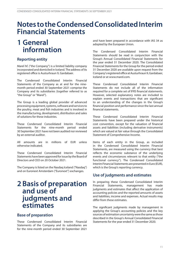## <span id="page-10-0"></span>**Notes totheCondensedConsolidatedInterim Financial Statements**

## **1 General information**

### **Reporting entity**

Marel hf. ("the Company") is a limited liability company incorporated and domiciled in Iceland. The address of its registered office is Austurhraun 9, Gardabaer.

The Condensed Consolidated Interim Financial Statements of the Company as at and for the ninemonth period ended 30 September 2021 comprise the Company and its subsidiaries (together referred to as "the Group" or "Marel").

The Group is a leading global provider of advanced processing equipment, systems, software and services to the poultry, meat and fish industries and is involved in the manufacturing, development, distribution and sales of solutions for these industries.

These Condensed Consolidated Interim Financial Statements for the nine-month period ended 30 September 2021 have not been audited nor reviewed by an external auditor.

All amounts are in millions of EUR unless otherwise indicated.

These Condensed Consolidated Interim Financial Statements have been approved for issue by the Board of Directors and CEO on 20 October 2021.

The Company is listed on the Nasdaq Iceland ("Nasdaq") and on Euronext Amsterdam (''Euronext'') exchanges.

### **2 Basis of preparation and use of judgments and estimates**

### **Base of preparation**

These Condensed Consolidated Interim Financial Statements of the Company and its subsidiaries are for the nine-month period ended 30 September 2021

and have been prepared in accordance with IAS 34 as adopted by the European Union.

The Condensed Consolidated Interim Financial Statements should be read in conjunction with the Group's Annual Consolidated Financial Statements for the year ended 31 December 2020. The Consolidated Financial Statements for the Group for the period ended 31 December 2020 are available upon request from the Company'sregisteredofficeatAusturhraun9,Gardabaer, Iceland or at [www.marel.com.](https://www.marel.com)

These Condensed Consolidated Interim Financial Statements do not include all of the information required for a complete set of IFRS financial statements. However, selected explanatory notes are included to explain events and transactions that are significant to an understanding of the changes in the Group's financial position and performance since the last annual financial statements.

These Condensed Consolidated Interim Financial Statements have been prepared under the historical cost convention, except for the valuation of financial assets and liabilities (including derivative instruments) which are valued at fair value through the Consolidated Statement of Comprehensive Income.

Items of each entity in the Group, as included in the Condensed Consolidated Interim Financial Statements, are measured using the currency that best reflects the economic substance of the underlying events and circumstances relevant to that entity ("the functional currency"). The Condensed Consolidated Interim Financial Statements are presented in Euro (EUR), which is the Group's reporting currency.

### **Use of judgments and estimates**

In preparing these Condensed Consolidated Interim Financial Statements, management has made judgments and estimates that affect the application of accounting policies and the reported amounts of assets and liabilities, income and expenses. Actual results may differ from these estimates.

The significant judgments made by management in applying the Group's accounting policies and the key sources of estimation uncertainty were the same as those described in the Group's Annual Consolidated Financial Statements for the year ended 31 December 2020.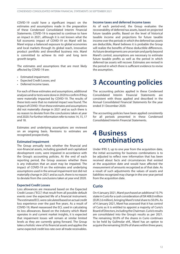<span id="page-11-0"></span>COVID-19 could have a significant impact on the estimates and assumptions made in the preparation of these Condensed Consolidated Interim Financial Statements. COVID-19 is expected to continue to have an impact in 2021, although it is not known what the full economic impact of COVID-19 on Marel will be. Marel enjoys a balanced exposure to global economies and local markets through its global reach, innovative product portfolio and diversified business mix. Marel is committed to achieve its mid- and long term growth targets.

The estimates and assumptions that are most likely affected by COVID-19 are:

- Estimated impairment;
- Expected Credit Losses; and
- Deferred income taxes.

For each of these estimates and assumptions, additional analyses and/or tests were done in 2020 to confirm if they were materially impacted by COVID-19. The results of these tests were that no material impact was found. The impact ofCOVID-19 on these estimates and assumptions did not materially change in 2021 and as such there is no reason to deviate from the conclusions taken at year end 2020. For further information refer to notes 14, 15, 17 and 18.

Estimates and underlying assumptions are reviewed on an ongoing basis. Revisions to estimates are recognized prospectively.

#### **Estimated impairment**

The Group annually tests whether the financial and non-financial assets, including goodwill and capitalized development costs, were impaired in accordance with the Group's accounting policies. At the end of each reporting period, the Group assesses whether there is any indication that an asset may be impaired. The impact of COVID-19 on the estimates and underlying assumptions used in the annual impairment test did not materially change in 2021 and as such, there is no reason to deviate from the conclusions taken at year end 2020.

#### **Expected Credit Losses**

Loss allowances are measured based on the Expected Credit Losses ("ECL") that result from all possible default events over the expected life of a financial instrument. The estimated ECL were calculated based on actual credit loss experience over the past five years. As a result of COVID-19, Marel reassessed the ECL used in calculating its loss allowances. Based on the industry which Marel operates in and current market insights, it is expected that impairment losses will remain at similar limited levels as they are currently going forward. The Group takes a holistic view of its financial assets and appliesthe same expected credit loss rate over all trade receivables.

#### **Income taxes and deferred income taxes**

As of each period-end, the Group evaluates the recoverability of deferred tax assets, based on projected future taxable profits. Based on the level of historical taxable income and projections for future taxable income over the periods in which the deferred tax assets are deductible, Marel believes it is probable the Group will realize the benefits of these deductible differences. Asfuture developments are uncertain and partly beyond Marel's control, assumptions are necessary to estimate future taxable profits as well as the period in which deferred tax assets will recover. Estimates are revised in the period in which there is sufficient evidence to revise the assumption.

## **3 Accounting policies**

The accounting policies applied in these Condensed Consolidated Interim Financial Statements are consistent with those applied and described in the Annual Consolidated Financial Statements for the year ended 31 December 2020.

The accounting policies have been applied consistently for all periods presented in these Condensed Consolidated Interim Financial Statements.

### **4 Business combinations**

Under IFRS 3, up to one year from the acquisition date, the initial accounting for business combinations is to be adjusted to reflect new information that has been received about facts and circumstances that existed at the acquisition date and would have affected the measurement of amounts recognized as of that date. As a result of such adjustments the values of assets and liabilities recognized may change in the one-year period from the acquisition date.

### **Curio**

On 4 January 2021, Marel purchased an additional 10.7% stake in Curio for a cash consideration of ISK 408.0 million (EUR 2.6million),bringing Marel'stotalshare to 50.0%.As of 4 January 2021, Marel has assessed that it has control of Curio as it is entitled to appoint a majority of Curio's BoardofDirectors,includingtheChairman.Curio'sresults are consolidated into the Group's results as per 2021. The remaining 50.0% of the shares in Curio continues to be held by Gullmolar ehf., Marel has an option to acquire the remaining 50.0% of shares within three years;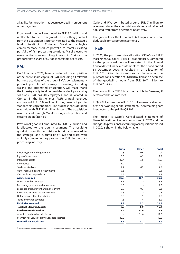a liability for the option has been recorded in non-current other payables.

Provisional goodwill amounted to EUR 3.7 million and is allocated to the fish segment. The resulting goodwill from this acquisition is primarily related to the strategic (and cultural) fit of Curio and Marel with a highly complementary product portfolio to Marel's existing portfolio of fish processing solutions. Marel elected to measure the non-controlling interest in Curio at the proportionate share of Curio's identifiable net assets.

#### **PMJ**

On 21 January 2021, Marel concluded the acquisition of the entire share capital of PMJ, including all relevant business activities of the group. PMJ's complementary product portfolio of primary processing, including waxing and automated evisceration, will make Marel the industry's only full-line provider of duck processing solutions. PMJ has 40 employees and is located in Opmeer in the Netherlands. PMJ's annual revenues are around EUR 5.0 million. Closing was subject to standard closing conditions. The purchase consideration was paid with EUR 12.4 million in cash. The acquisition was financed through Marel's strong cash position and existing credit facilities.

Provisional goodwill amounted to EUR 6.7 million and is allocated to the poultry segment. The resulting goodwill from this acquisition is primarily related to the strategic (and cultural) fit of PMJ and Marel with a highly complementary product portfolio in the duck processing industry.

Curio and PMJ contributed around EUR 7 million to revenues since their acquisition dates and affected adjusted result from operations negatively.

The goodwill for the Curio and PMJ acquisitions is not deductible for corporate income tax.

### **TREIF**

In 2021, the purchase price allocation ("PPA") for TREIF Maschinenbau GmbH ("TREIF") was finalized. Compared to the provisional goodwill reported in the Annual Consolidated Financial Statements for the period ended 31 December 2020, it resulted in an allocation of EUR 1.2 million to inventories, a decrease of the purchase consideration of EUR 0.8million and a decrease of the goodwill amount from EUR 36.7 million to EUR 34.7 million.

The goodwill for TREIF is tax deductible in Germany if certain conditions are met.

InQ2 2021, an amount of EUR 6.0million was paid as part of the net working capital settlement. The remaining part is expected to be paid in Q4 2021.

The impact to Marel's Consolidated Statement of Financial Position of acquisitions closed in 2021 and the changesto provisional accounting of acquisitions closed in 2020, is shown in the below table.

|                                                 | <b>Curio</b> | Other <sup>1</sup> | <b>Total</b> |
|-------------------------------------------------|--------------|--------------------|--------------|
| Property, plant and equipment                   | 1.8          | 0.6                | 2.4          |
| Right of use assets                             | 2.0          | 0.3                | 2.3          |
| Intangible assets                               | 12.4         | 5.6                | 18.0         |
| Inventories                                     | 6.2          | 1.7                | 7.9          |
| Trade receivables                               | 2.7          | 0.2                | 2.9          |
| Other receivables and prepayments               | 0.5          |                    | 0.5          |
| Cash and cash equivalents                       | 0.2          | 1.7                | 1.9          |
| <b>Assets acquired</b>                          | 25.8         | 10.1               | 35.9         |
| Non-controlling interests                       | 8.5          |                    | 8.5          |
| Borrowings, current and non-current             | 1.5          |                    | 1.5          |
| Lease liabilities, current and non-current      | 2.0          | 0.3                | 2.3          |
| Provisions, current and non-current             | 0.5          |                    | 0.5          |
| Deferred and other tax liabilities              | 3.0          | 1.5                | 4.5          |
| Trade and other payables                        | 1.8          | 1.4                | 3.2          |
| <b>Liabilities assumed</b>                      | 17.3         | 3.2                | 20.5         |
| <b>Total net identified assets</b>              | 8.5          | 6.9                | 15.4         |
| <b>Purchase consideration</b>                   | 12.2         | 11.6               | 23.8         |
| of which paid / to be paid in cash              |              | 11.6               | 11.6         |
| of which fair value of previously held interest | 12.2         |                    | 12.2         |
| <b>Goodwill on acquisition</b>                  | 3.7          | 4.7                | 8.4          |

1 Relates to PPA finalization for the 2020 TREIF acquisition and the acquisition of PMJ in 2021.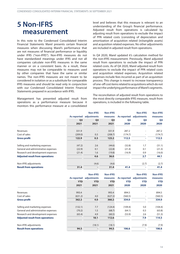### <span id="page-13-0"></span>**5 Non-IFRS measurement**

In this note to the Condensed Consolidated Interim Financial Statements Marel presents certain financial measures when discussing Marel's performance that are not measures of financial performance or liquidity under IFRS ("non-IFRS"). Non-IFRS measures do not have standardized meanings under IFRS and not all companies calculate non-IFRS measures in the same manner or on a consistent basis. As a result, these measures may not be comparable to measures used by other companies that have the same or similar names. The non-IFRS measures are not meant to be considered in isolation or as a substitute for comparable IFRS measures and should be read only in conjunction with our Condensed Consolidated Interim Financial Statements prepared in accordance with IFRS.

Management has presented adjusted result from operations as a performance measure because it monitors this performance measure at a consolidated

level and believes that this measure is relevant to an understanding of the Group's financial performance. Adjusted result from operations is calculated by adjusting result from operations to exclude the impact of PPA related costs (consisting of depreciation and amortization of acquisition related (in)tangible assets) and acquisition related expenses. No other adjustments are included in adjusted result from operations.

In Q4 2020, Marel updated it's calculation method for the non-IFRS measurement. Previously, Marel adjusted result from operations to exclude the impact of PPA related costs. As of Q4 2020, Marel adjusted result from operations to exclude the impact of PPA related costs and acquisition related expenses. Acquisition related expenses include fees incurred as part of an acquisition process. This change is meant to increase transparency of one-off cost items related to acquisitions which do not impact the underlying performance of Marel's segments.

The reconciliation of adjusted result from operations to the most directly comparable IFRS measure, result from operations, is included in the following table.

|                                        | As reported    | <b>Non-IFRS</b><br>adjustments | <b>Non-IFRS</b><br>measures | As reported    | <b>Non-IFRS</b><br>adjustments | <b>Non-IFRS</b><br>measures |
|----------------------------------------|----------------|--------------------------------|-----------------------------|----------------|--------------------------------|-----------------------------|
|                                        | Q <sub>3</sub> | Q <sub>3</sub>                 | Q <sub>3</sub>              | Q <sub>3</sub> | Q <sub>3</sub>                 | Q <sub>3</sub>              |
|                                        | 2021           | 2021                           | 2021                        | 2020           | 2020                           | 2020                        |
| Revenues                               | 331.9          |                                | 331.9                       | 287.2          |                                | 287.2                       |
| Cost of sales                          | (209.0)        | 0.3                            | (208.7)                     | (174.7)        | $\overline{\phantom{0}}$       | (174.7)                     |
| <b>Gross profit</b>                    | 122.9          | 0.3                            | 123.2                       | 112.5          | ۰.                             | 112.5                       |
| Selling and marketing expenses         | (47.2)         | 2.6                            | (44.6)                      | (32.8)         | 1.7                            | (31.1)                      |
| General and administrative expenses    | (22.9)         | 0.1                            | (22.8)                      | (21.4)         | 0.1                            | (21.3)                      |
| Research and development expenses      | (21.4)         | 1.6                            | (19.8)                      | (16.9)         | 0.9                            | (16.0)                      |
| <b>Adjusted result from operations</b> |                | 4.6                            | 36.0                        |                | 2.7                            | 44.1                        |
| Non-IFRS adjustments                   |                | (4.6)                          | (4.6)                       |                | (2.7)                          | (2.7)                       |
| <b>Result from operations</b>          | 31.4           |                                | 31.4                        | 41.4           |                                | 41.4                        |

|                                        |             | <b>Non-IFRS</b> | <b>Non-IFRS</b> |             | <b>Non-IFRS</b>          | <b>Non-IFRS</b> |
|----------------------------------------|-------------|-----------------|-----------------|-------------|--------------------------|-----------------|
|                                        | As reported | adjustments     | measures        | As reported | adjustments              | measures        |
|                                        | <b>YTD</b>  | <b>YTD</b>      | <b>YTD</b>      | <b>YTD</b>  | <b>YTD</b>               | <b>YTD</b>      |
|                                        | 2021        | 2021            | 2021            | 2020        | 2020                     | 2020            |
| Revenues                               | 993.4       |                 | 993.4           | 894.5       | -                        | 894.5           |
| Cost of sales                          | (631.2)     | 4.0             | (627.2)         | (560.5)     | $\overline{\phantom{a}}$ | (560.5)         |
| <b>Gross profit</b>                    | 362.2       | 4.0             | 366.2           | 334.0       |                          | 334.0           |
| Selling and marketing expenses         | (132.1)     | 7.7             | (124.4)         | (109.4)     | 5.0                      | (104.4)         |
| General and administrative expenses    | (70.2)      | 1.5             | (68.7)          | (64.1)      | 0.3                      | (63.8)          |
| Research and development expenses      | (65.4)      | 4.9             | (60.5)          | (53.9)      | 2.6                      | (51.3)          |
| <b>Adjusted result from operations</b> |             | 18.1            | 112.6           |             | 7.9                      | 114.5           |
| Non-IFRS adjustments                   |             | (18.1)          | (18.1)          |             | (7.9)                    | (7.9)           |
| <b>Result from operations</b>          | 94.5        |                 | 94.5            | 106.6       |                          | 106.6           |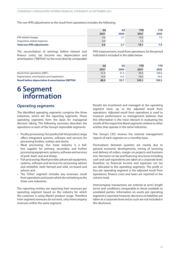<span id="page-14-0"></span>The non-IFRS adjustments to the result from operations includes the following:

|                                   |      | Ο3   | <b>YTD</b> | <b>YTD</b> |
|-----------------------------------|------|------|------------|------------|
|                                   | 2021 | 2020 | 2021       | 2020       |
| PPA related charges               | 4.6  | 2.7  | 16.8       | 7.9        |
| Acquisition related expenses      | 0.0  |      | 1.3        |            |
| <b>Total non-IFRS adjustments</b> | 4.6  | 2.7  | 18.1       | 7.9        |

The reconciliation of earnings before interest (net finance costs), tax (income tax), depreciation and amortization ("EBITDA") to the most directly comparable

IFRS measurement, result from operations, for the period indicated is included in the table below.

|                                                               | Q <sub>3</sub> | <b>Q3</b> | <b>YTD</b> | <b>YTD</b> |
|---------------------------------------------------------------|----------------|-----------|------------|------------|
|                                                               | 2021           | 2020      | 2021       | 2020       |
| Result from operations (EBIT)                                 | 31.4           | 41.4      | 94.5       | 106.6      |
| Depreciation, amortization and impairment                     | 16.6           | 14.3      | 50.6       | 43.6       |
| <b>Result before depreciation &amp; amortization (EBITDA)</b> | 48.0           | 55.7      | 145.1      | 150.2      |

## **6 Segment information**

### **Operating segments**

The identified operating segments comprise the three industries, which are the reporting segments. These operating segments form the basis for managerial decision taking. The following summary describes the operations in each of the Group's reportable segments:

- Poultry processing: Our poultry full-line product range offers integrated systems, software and services for processing broilers, turkeys and ducks;
- Meat processing: Our meat industry is a fullline supplier for primary, secondary and further processingequipment,systems,softwareandservices of pork, beef, veal and sheep;
- Fish processing: Marel provides advanced equipment, systems, software and services for processing salmon and whitefish, both farmed and wild, on-board and ashore; and
- The 'Other' segment includes any revenues, result from operations and assets which do not belong to the three core industries.

The reporting entities are reporting their revenues per operating segment based on the industry for which the customer is using Marel's product range. Therefore inter-segment revenues do not exist, only intercompany revenues within the same segment.

Results are monitored and managed at the operating segment level, up to the adjusted result from operations. Adjusted result from operations is used to measure performance as management believes that this information is the most relevant in evaluating the results of the respective Marel segments relative to other entities that operate in the same industries.

The Group's CEO reviews the internal management reports of each segment on a monthly basis.

Fluctuations between quarters are mainly due to general economic developments, timing of receiving and delivery of orders, margin on projects and business mix. Decisions on tax and financing structures including cash and cash equivalents are taken at a corporate level, therefore no financial income and expenses nor tax are allocated to the operating segments. The profit or loss per operating segment is the adjusted result from operations; finance costs and taxes are reported in the column total.

Intercompany transactions are entered at arm's length terms and conditions comparable to those available to unrelated parties. Information on assets per operating segment is reported; however, decisions on liabilities are taken at a corporate level and as such are not included in this disclosure.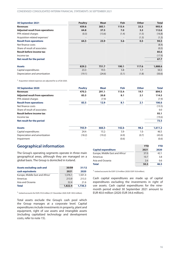| 30 September 2021                         | <b>Poultry</b>           | <b>Meat</b>              | <b>Fish</b> | <b>Other</b> | <b>Total</b> |
|-------------------------------------------|--------------------------|--------------------------|-------------|--------------|--------------|
| <b>Revenues</b>                           | 459.6                    | 385.1                    | 115.4       | 33.3         | 993.4        |
| <b>Adjusted result from operations</b>    | 64.8                     | 37.5                     | 7.0         | 3.3          | 112.6        |
| PPA related charges                       | (0.3)                    | (13.6)                   | (1.4)       | (1.5)        | (16.8)       |
| Acquisition related expenses <sup>1</sup> | $\overline{\phantom{a}}$ | $\overline{\phantom{a}}$ |             | (1.3)        | (1.3)        |
| <b>Result from operations</b>             | 64.5                     | 23.9                     | 5.6         | 0.5          | 94.5         |
| Net finance costs                         |                          |                          |             |              | (8.4)        |
| Share of result of associates             |                          |                          |             |              | (0.5)        |
| <b>Result before income tax</b>           |                          |                          |             |              | 85.6         |
| Income tax                                |                          |                          |             |              | (17.9)       |
| Net result for the period                 |                          |                          |             |              | 67.7         |
| <b>Assets</b>                             | 829.2                    | 751.7                    | 190.1       | 117.6        | 1,888.6      |
| Capital expenditures                      | 23.3                     | 19.5                     | 5.8         | 1.7          | 50.3         |
| Depreciation and amortization             | (19.1)                   | (24.6)                   | (5.1)       | (1.8)        | (50.6)       |

1 Acquisition related expenses are adjusted for as of Q4 2020.

| 30 September 2020                      | <b>Poultry</b> | <b>Meat</b> | <b>Fish</b> | <b>Other</b>             | <b>Total</b> |
|----------------------------------------|----------------|-------------|-------------|--------------------------|--------------|
| <b>Revenues</b>                        | 470.3          | 291.1       | 113.4       | 19.7                     | 894.5        |
| <b>Adjusted result from operations</b> | 83.5           | 20.8        | 8.1         | 2.1                      | 114.5        |
| PPA related charges                    |                | (7.9)       | ٠           | $\overline{\phantom{a}}$ | (7.9)        |
| <b>Result from operations</b>          | 83.5           | 12.9        | 8.1         | 2.1                      | 106.6        |
| Net finance costs                      |                |             |             |                          | (13.5)       |
| Share of result of associates          |                |             |             |                          | 0.0          |
| <b>Result before income tax</b>        |                |             |             |                          | 93.1         |
| Income tax                             |                |             |             |                          | (19.6)       |
| Net result for the period              |                |             |             |                          | 73.5         |
| <b>Assets</b>                          | 703.9          | 666.5       | 142.6       | 98.2                     | 1,611.2      |
| Capital expenditures                   | 24.4           | 15.2        | 5.9         | 1.0                      | 46.5         |
| Depreciation and amortization          | (18.2)         | (19.2)      | (4.9)       | (0.7)                    | (43.0)       |
| Impairment                             |                |             | (0.6)       |                          | (0.6)        |

### **Geographical information**

The Group's operating segments operate in three main geographical areas, although they are managed on a global basis. The Group is domiciled in Iceland.

| <b>Assets excluding cash and</b>            | 30/09   | 31/12   |
|---------------------------------------------|---------|---------|
| cash equivalents                            | 2021    | 2020    |
| Europe, Middle East and Africa <sup>1</sup> | 1,576.1 | 1,501.4 |
| Americas                                    | 213.9   | 213.3   |
| Asia and Oceania                            | 32.4    | 21.6    |
| <b>Total</b>                                | 1,822.4 | 1,736.3 |

1 Iceland accounts for EUR 219.0 million (31 December 2020: EUR 149.0 million).

Total assets exclude the Group's cash pool which the Group manages at a corporate level. Capital expenditures include investments in property, plant and equipment, right of use assets and intangible assets (including capitalized technology and development costs, refer to note [15\)](#page-22-0).

|                                             | <b>YTD</b> | YTD  |
|---------------------------------------------|------------|------|
| <b>Capital expenditure</b>                  | 2021       | 2020 |
| Europe, Middle East and Africa <sup>1</sup> | 37.0       | 42.1 |
| Americas                                    | 10.7       | 3.8  |
| Asia and Oceania                            | 2.6        | 0.6  |
| <b>Total</b>                                | 50.3       | 46.5 |

1 Iceland accounts for EUR 12.9 million (2020: EUR 10.8 million).

Cash capital expenditures are made up of capital expenditures excluding the investments in right of use assets. Cash capital expenditures for the ninemonth period ended 30 September 2021 amount to EUR 40.0 million (2020: EUR 34.6 million).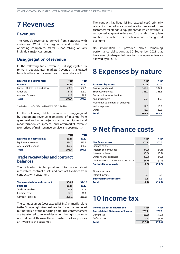## <span id="page-16-0"></span>**7 Revenues**

### **Revenues**

The Group's revenue is derived from contracts with customers. Within the segments and within the operating companies, Marel is not relying on any individual major customers.

### **Disaggregation of revenue**

In the following table, revenue is disaggregated by primary geographical markets (revenue is allocated based on the country were the customer is located):

| Revenue by geographical                     | <b>YTD</b> | YTD   |
|---------------------------------------------|------------|-------|
| markets                                     | 2021       | 2020  |
| Europe, Middle East and Africa <sup>1</sup> | 500.0      | 502.6 |
| Americas                                    | 351.6      | 293.2 |
| Asia and Oceania                            | 141.8      | 98.7  |
| <b>Total</b>                                | 993.4      | 894.5 |

1 Iceland accounts for EUR 8.1 million (2020: EUR 17.5 million).

In the following table revenue is disaggregated by equipment revenue (comprised of revenue from greenfield and large projects, standard equipment and modernization equipment) and aftermarket revenue (comprised of maintenance, service and spare parts).

|                                | <b>YTD</b> | YTD   |
|--------------------------------|------------|-------|
| <b>Revenue by business mix</b> | 2021       | 2020  |
| Equipment revenue              | 596.2      | 533.8 |
| Aftermarket revenue            | 397.2      | 360.7 |
| <b>Total</b>                   | 993.4      | 894.5 |

### **Trade receivables and contract balances**

The following table provides information about receivables, contract assets and contract liabilities from contracts with customers.

| <b>Trade receivables and contract</b> | 30/09   | 31/12   |
|---------------------------------------|---------|---------|
| <b>balances</b>                       | 2021    | 2020    |
| Trade receivables                     | 153.8   | 151.3   |
| Contract assets                       | 57.8    | 46.1    |
| Contract liabilities                  | (286.8) | (236.6) |

The contract assets (cost exceed billing) primarily relate to the Group's rights to consideration for work completed but not billed at the reporting date. The contract assets are transferred to receivables when the rights become unconditional. This usually occurs when the Group issues an invoice to the customer.

The contract liabilities (billing exceed cost) primarily relate to the advance consideration received from customers for standard equipment for which revenue is recognized at a point in time and for the sale of complete solutions or systems for which revenue is recognized over time.

No information is provided about remaining performance obligations at 30 September 2021 that have an original expected duration of one year or less, as allowed by IFRS 15.

## **8 Expenses by nature**

|                                   | <b>YTD</b> | YTD   |
|-----------------------------------|------------|-------|
| <b>Expenses by nature</b>         | 2021       | 2020  |
| Cost of goods sold                | 354.2      | 307.1 |
| <b>Employee benefits</b>          | 385.2      | 345.8 |
| Depreciation, amortization        |            |       |
| and impairment                    | 50.6       | 43.6  |
| Maintenance and rent of buildings |            |       |
| and equipment                     | 12.0       | 10.9  |
| Other                             | 96.9       | 80.5  |
| <b>Total</b>                      | 898.9      | 787.9 |

## **9 Net finance costs**

|                                         | <b>YTD</b> | <b>YTD</b> |
|-----------------------------------------|------------|------------|
| <b>Net finance costs</b>                | 2021       | 2020       |
| Finance costs:                          |            |            |
| Interest on borrowings                  | (4.0)      | (4.1)      |
| Interest on leases                      | (0.6)      | (0.7)      |
| Other finance expenses                  | (0.8)      | (4.0)      |
| Net foreign exchange transaction losses | (3.3)      | (4.9)      |
| <b>Subtotal finance costs</b>           | (8.7)      | (13.7)     |
| Finance income:                         |            |            |
| Interest income                         | 0.3        | 0.2        |
| <b>Subtotal finance income</b>          | 0.3        | 0.2        |
| <b>Total</b>                            | (8.4)      | (13.5)     |

### **10 Income tax**

| Income tax recognized in the            | <b>YTD</b> | YTD    |
|-----------------------------------------|------------|--------|
| <b>Consolidated Statement of Income</b> | 2021       | 2020   |
| Current tax                             | (23.8)     | (17.9) |
| Deferred tax                            | 5.9        | (1.7)  |
| <b>Total</b>                            | (17.9)     | (19.6) |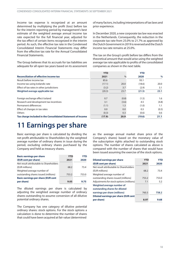<span id="page-17-0"></span>Income tax expense is recognized at an amount determined by multiplying the profit (loss) before tax for the interim reporting period by management's best estimate of the weighted average annual income tax rate expected for the full financial year, adjusted for the tax effect of certain items recognized in the interim period. As such, the effective tax rate in the Condensed Consolidated Interim Financial Statements may differ from the effective tax rate for the Annual Consolidated Financial Statements.

The Group believes that its accruals for tax liabilities are adequate for all open tax years based on its assessment ofmany factors, including interpretations oftax laws and prior experience.

In December 2020, a new corporate tax law was enacted in the Netherlands. Consequently, the reduction in the corporate tax rate from 25.0% to 21.7% as approved by the Dutch Government in 2019 is reversed and the Dutch income tax rate remains at 25.0%.

The tax on the Group's profit before tax differs from the theoretical amount that would arise using the weighted average tax rate applicable to profits of the consolidated companies as shown in the next table.

|                                                             | <b>YTD</b> |               | <b>YTD</b> |       |
|-------------------------------------------------------------|------------|---------------|------------|-------|
| <b>Reconciliation of effective income tax</b>               | 2021       | $\frac{0}{0}$ | 2020       | %     |
| Result before income tax                                    | 85.6       |               | 93.1       |       |
| Income tax using Icelandic rate                             | (17.1)     | 20.0          | (18.6)     | 20.0  |
| Effect of tax rates in other jurisdictions                  | (3.2)      | 3.7           | (2.9)      | 3.1   |
| Weighted average applicable tax                             | (20.3)     | 23.7          | (21.5)     | 23.1  |
| Foreign exchange effect Iceland                             | 0.7        | (0.8)         | (1.5)      | 1.6   |
| Research and development tax incentives                     | 3.1        | (3.6)         | 4.5        | (4.8) |
| Permanent differences                                       | (1.1)      | 1.3           | (1.0)      | 1.1   |
| Effect of changes in tax rates                              | 0.0        | 0.0           | 0.5        | (0.5) |
| <b>Others</b>                                               | (0.3)      | 0.3           | (0.6)      | 0.6   |
| Tax charge included in the Consolidated Statement of Income | (17.9)     | 20.9          | (19.6)     | 21.1  |

## **11 Earnings per share**

Basic earnings per share is calculated by dividing the net profit attributable to Shareholders by the weighted average number of ordinary shares in issue during the period, excluding ordinary shares purchased by the Company and held as treasury shares.

| <b>Basic earnings per share</b>           | <b>YTD</b> | YTD   |
|-------------------------------------------|------------|-------|
| (EUR cent per share)                      | 2021       | 2020  |
| Net result attributable to Shareholders   |            |       |
| (EUR millions)                            | 68.2       | 73.4  |
| Weighted average number of                |            |       |
| outstanding shares issued (millions)      | 753.2      | 753.0 |
| <b>Basic earnings per share (EUR cent</b> |            |       |
| per share)                                | 9.05       | 9.75  |

The diluted earnings per share is calculated by adjusting the weighted average number of ordinary shares outstanding to assume conversion of all dilutive potential ordinary shares.

The Company has one category of dilutive potential ordinary shares: stock options. For the stock options a calculation is done to determine the number of shares that could have been acquired at fair value (determined

as the average annual market share price of the Company's shares) based on the monetary value of the subscription rights attached to outstanding stock options. The number of shares calculated as above is compared with the number of shares that would have been issued assuming the exercise of the stock options.

| <b>Diluted earnings per share</b>           | <b>YTD</b> | YTD   |
|---------------------------------------------|------------|-------|
| (EUR cent per share)                        | 2021       | 2020  |
| Net result attributable to Shareholders     |            |       |
| (EUR millions)                              | 68.2       | 73.4  |
| Weighted average number of                  |            |       |
| outstanding shares issued (millions)        | 753.2      | 753.0 |
| Adjustments for stock options (millions)    | 7.1        | 5.2   |
| Weighted average number of                  |            |       |
| outstanding shares for diluted              |            |       |
| earnings per share (millions)               | 760.3      | 758.2 |
| <b>Diluted earnings per share (EUR cent</b> |            |       |
| per share)                                  | 8.97       | 9.68  |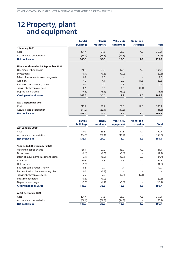## <span id="page-18-0"></span>**12 Property, plant and equipment**

|                                       | Land &           | <b>Plant &amp;</b> | <b>Vehicles &amp;</b> | <b>Under con-</b>        |              |
|---------------------------------------|------------------|--------------------|-----------------------|--------------------------|--------------|
|                                       | <b>buildings</b> | machinery          | equipment             | struction                | <b>Total</b> |
| 1 January 2021                        |                  |                    |                       |                          |              |
| Cost                                  | 204.4            | 91.6               | 56.9                  | 4.5                      | 357.4        |
| Accumulated depreciation              | (58.1)           | (58.3)             | (44.3)                |                          | (160.7)      |
| <b>Net book value</b>                 | 146.3            | 33.3               | 12.6                  | 4.5                      | 196.7        |
| Nine months ended 30 September 2021   |                  |                    |                       |                          |              |
| Opening net book value                | 146.3            | 33.3               | 12.6                  | 4.5                      | 196.7        |
| <b>Divestments</b>                    | (0.1)            | (0.5)              | (0.2)                 |                          | (0.8)        |
| Effect of movements in exchange rates | 0.7              | 0.3                |                       | $\overline{\phantom{a}}$ | 1.0          |
| <b>Additions</b>                      | 4.9              | 4.1                | 2.0                   | 11.6                     | 22.6         |
| Business combinations, note 4         | 0.1              | 2.0                | 0.3                   |                          | 2.4          |
| Transfer between categories           | 0.6              | 3.0                | 0.5                   | (4.1)                    |              |
| Depreciation charge                   | (4.5)            | (5.6)              | (3.0)                 |                          | (13.1)       |
| <b>Closing net book value</b>         | 148.0            | 36.6               | 12.2                  | 12.0                     | 208.8        |
| At 30 September 2021                  |                  |                    |                       |                          |              |
| Cost                                  | 219.2            | 99.7               | 59.5                  | 12.0                     | 390.4        |
| Accumulated depreciation              | (71.2)           | (63.1)             | (47.3)                |                          | (181.6)      |
| <b>Net book value</b>                 | 148.0            | 36.6               | 12.2                  | 12.0                     | 208.8        |

|                                       | Land &           | Plant &   | <b>Vehicles &amp;</b> | <b>Under con-</b> |              |
|---------------------------------------|------------------|-----------|-----------------------|-------------------|--------------|
|                                       | <b>buildings</b> | machinery | equipment             | struction         | <b>Total</b> |
| At 1 January 2020                     |                  |           |                       |                   |              |
| Cost                                  | 190.9            | 83.3      | 62.3                  | 4.2               | 340.7        |
| Accumulated depreciation              | (54.8)           | (56.1)    | (48.4)                |                   | (159.3)      |
| <b>Net book value</b>                 | 136.1            | 27.2      | 13.9                  | 4.2               | 181.4        |
| Year ended 31 December 2020           |                  |           |                       |                   |              |
| Opening net book value                | 136.1            | 27.2      | 13.9                  | 4.2               | 181.4        |
| <b>Divestments</b>                    | (0.6)            | (0.5)     | (0.6)                 |                   | (1.7)        |
| Effect of movements in exchange rates | (3.1)            | (0.9)     | (0.7)                 | 0.0               | (4.7)        |
| <b>Additions</b>                      | 10.8             | 4.8       | 4.5                   | 7.4               | 27.5         |
| Held for sale                         | (1.8)            |           |                       |                   | (1.8)        |
| Business combinations, note 4         | 8.5              | 2.7       | 1.7                   |                   | 12.9         |
| Reclassifications between categories  | 0.1              | (0.1)     |                       |                   |              |
| Transfer between categories           | 2.7              | 7.0       | (2.6)                 | (7.1)             |              |
| Impairment charge                     | (0.6)            | (0.2)     |                       |                   | (0.8)        |
| Depreciation charge                   | (5.8)            | (6.7)     | (3.6)                 |                   | (16.1)       |
| <b>Closing net book value</b>         | 146.3            | 33.3      | 12.6                  | 4.5               | 196.7        |
| At 31 December 2020                   |                  |           |                       |                   |              |
| Cost                                  | 204.4            | 91.6      | 56.9                  | 4.5               | 357.4        |
| Accumulated depreciation              | (58.1)           | (58.3)    | (44.3)                |                   | (160.7)      |
| <b>Net book value</b>                 | 146.3            | 33.3      | 12.6                  | 4.5               | 196.7        |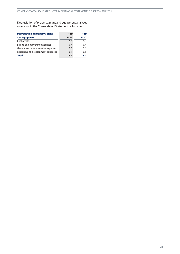Depreciation of property, plant and equipment analyzes as follows in the Consolidated Statement of Income:

| <b>Depreciation of property, plant</b> | <b>YTD</b> | <b>YTD</b> |
|----------------------------------------|------------|------------|
| and equipment                          | 2021       | 2020       |
| Cost of sales                          | 5.6        | 5.3        |
| Selling and marketing expenses         | 0.4        | 0.4        |
| General and administrative expenses    | 7.0        | 5.6        |
| Research and development expenses      | 0.1        | 0.1        |
| <b>Total</b>                           | 13.1       | 11.4       |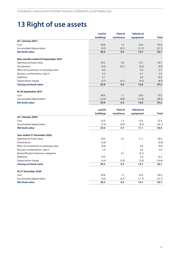## <span id="page-20-0"></span>**13 Right of use assets**

|                                       | Land &           | Plant &   | <b>Vehicles &amp;</b> |              |
|---------------------------------------|------------------|-----------|-----------------------|--------------|
|                                       | <b>buildings</b> | machinery | equipment             | <b>Total</b> |
| At 1 January 2021                     |                  |           |                       |              |
| Cost                                  | 38.8             | 1.2       | 24.4                  | 64.4         |
| Accumulated depreciation              | (9.3)            | (0.7)     | (11.7)                | (21.7)       |
| <b>Net book value</b>                 | 29.5             | 0.5       | 12.7                  | 42.7         |
| Nine months ended 30 September 2021   |                  |           |                       |              |
| Opening net book value                | 29.5             | 0.5       | 12.7                  | 42.7         |
| <b>Divestments</b>                    | (0.2)            | (0.1)     | (0.2)                 | (0.5)        |
| Effect of movements in exchange rates | 0.4              |           | 0.3                   | 0.7          |
| Business combinations, note 4         | 2.2              |           | 0.1                   | 2.3          |
| <b>Additions</b>                      | 5.7              |           | 4.6                   | 10.3         |
| Depreciation charge                   | (3.7)            | (0.1)     | (4.5)                 | (8.3)        |
| <b>Closing net book value</b>         | 33.9             | 0.3       | 13.0                  | 47.2         |
| At 30 September 2021                  |                  |           |                       |              |
| Cost                                  | 48.4             | 1.1       | 26.0                  | 75.5         |
| Accumulated depreciation              | (14.5)           | (0.8)     | (13.0)                | (28.3)       |
| <b>Net book value</b>                 | 33.9             | 0.3       | 13.0                  | 47.2         |

|                                       | Land &           | Plant &                  | <b>Vehicles &amp;</b> |              |
|---------------------------------------|------------------|--------------------------|-----------------------|--------------|
|                                       | <b>buildings</b> | machinery                | equipment             | <b>Total</b> |
| At 1 January 2020                     |                  |                          |                       |              |
| Cost                                  | 32.0             | 1.2                      | 19.3                  | 52.5         |
| Accumulated depreciation              | (7.4)            | (0.5)                    | (8.2)                 | (16.1)       |
| <b>Net book value</b>                 | 24.6             | 0.7                      | 11.1                  | 36.4         |
| Year ended 31 December 2020           |                  |                          |                       |              |
| Opening net book value                | 24.6             | 0.7                      | 11.1                  | 36.4         |
| <b>Divestments</b>                    | (3.9)            | $\overline{\phantom{a}}$ |                       | (3.9)        |
| Effect of movements in exchange rates | (0.6)            |                          | 0.0                   | (0.6)        |
| Business combinations, note 4         | 2.9              | ٠                        | 2.0                   | 4.9          |
| Reclassifications between categories  |                  | 0.1                      | (0.1)                 |              |
| <b>Additions</b>                      | 10.9             |                          | 5.6                   | 16.5         |
| Depreciation charge                   | (4.4)            | (0.3)                    | (5.9)                 | (10.6)       |
| <b>Closing net book value</b>         | 29.5             | 0.5                      | 12.7                  | 42.7         |
| At 31 December 2020                   |                  |                          |                       |              |
| Cost                                  | 38.8             | 1.2                      | 24.4                  | 64.4         |
| Accumulated depreciation              | (9.3)            | (0.7)                    | (11.7)                | (21.7)       |
| <b>Net book value</b>                 | 29.5             | 0.5                      | 12.7                  | 42.7         |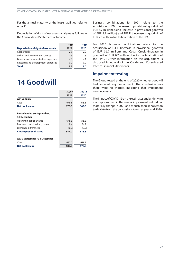<span id="page-21-0"></span>For the annual maturity of the lease liabilities, refer to note [21](#page-26-0).

Depreciation of right of use assets analyzes as follows in the Consolidated Statement of Income:

|                                            | <b>YTD</b> | YTD  |
|--------------------------------------------|------------|------|
| <b>Depreciation of right of use assets</b> | 2021       | 2020 |
| Cost of sales                              | 2.5        | 2.2  |
| Selling and marketing expenses             | 1.6        | 1.5  |
| General and administrative expenses        | 4.0        | 4.1  |
| Research and development expenses          | 0.2        | 0.2  |
| <b>Total</b>                               | 8.3        | 8.0  |

### **14 Goodwill**

|                               | 30/09 | 31/12 |
|-------------------------------|-------|-------|
|                               | 2021  | 2020  |
| At 1 January                  |       |       |
| Cost                          | 678.8 | 645.8 |
| <b>Net book value</b>         | 678.8 | 645.8 |
| Period ended 30 September /   |       |       |
| <b>31 December</b>            |       |       |
| Opening net book value        | 678.8 | 645.8 |
| Business combinations, note 4 | 8.4   | 36.9  |
| Exchange differences          | (0.2) | (3.9) |
| <b>Closing net book value</b> | 687.0 | 678.8 |
| At 30 September / 31 December |       |       |
| Cost                          | 687.0 | 678.8 |
| Net book value                | 687.0 | 678.8 |

Business combinations for 2021 relate to the acquisition of PMJ (increase in provisional goodwill of EUR 6.7 million), Curio (increase in provisional goodwill of EUR 3.7 million) and TREIF (decrease in goodwill of EUR 2.0 million due to finalization of the PPA).

For 2020 business combinations relate to the acquisition of TREIF (increase in provisional goodwill of EUR 36.7 million) and Cedar Creek (increase in goodwill of EUR 0.2 million due to the finalization of the PPA). Further information on the acquisitions is disclosed in note [4](#page-11-0) of the Condensed Consolidated Interim Financial Statements.

### **Impairment testing**

The Group tested at the end of 2020 whether goodwill had suffered any impairment. The conclusion was there were no triggers indicating that impairment was necessary.

The impact of COVID-19 on the estimates and underlying assumptions used in the annual impairment test did not materially change in 2021 and as such, there is no reason to deviate from the conclusions taken at year end 2020.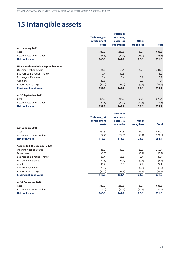## <span id="page-22-0"></span>**15 Intangible assets**

|                                     |                         | <b>Customer</b> |                    |              |
|-------------------------------------|-------------------------|-----------------|--------------------|--------------|
|                                     | <b>Technology &amp;</b> | relations,      |                    |              |
|                                     | development             | patents &       | <b>Other</b>       |              |
|                                     | costs                   | trademarks      | <b>intangibles</b> | <b>Total</b> |
| At 1 January 2021                   |                         |                 |                    |              |
| Cost                                | 313.3                   | 233.5           | 89.7               | 636.5        |
| Accumulated amortization            | (166.5)                 | (72.1)          | (66.9)             | (305.5)      |
| <b>Net book value</b>               | 146.8                   | 161.4           | 22.8               | 331.0        |
| Nine months ended 30 September 2021 |                         |                 |                    |              |
| Opening net book value              | 146.8                   | 161.4           | 22.8               | 331.0        |
| Business combinations, note 4       | 7.4                     | 10.6            |                    | 18.0         |
| Exchange differences                | 0.4                     | 0.4             | 0.1                | 0.9          |
| <b>Additions</b>                    | 13.6                    |                 | 3.8                | 17.4         |
| Amortization charge                 | (14.1)                  | (9.2)           | (5.9)              | (29.2)       |
| <b>Closing net book value</b>       | 154.1                   | 163.2           | 20.8               | 338.1        |
| At 30 September 2021                |                         |                 |                    |              |
| Cost                                | 335.9                   | 245.9           | 93.6               | 675.4        |
| Accumulated amortization            | (181.8)                 | (82.7)          | (72.8)             | (337.3)      |
| <b>Net book value</b>               | 154.1                   | 163.2           | 20.8               | 338.1        |

|                               |                         | <b>Customer</b> |              |              |
|-------------------------------|-------------------------|-----------------|--------------|--------------|
|                               | <b>Technology &amp;</b> | relations,      |              |              |
|                               | development             | patents &       | <b>Other</b> |              |
|                               | costs                   | trademarks      | intangibles  | <b>Total</b> |
| At 1 January 2020             |                         |                 |              |              |
| Cost                          | 267.5                   | 177.8           | 81.9         | 527.2        |
| Accumulated amortization      | (152.2)                 | (64.5)          | (58.1)       | (274.8)      |
| <b>Net book value</b>         | 115.3                   | 113.3           | 23.8         | 252.4        |
| Year ended 31 December 2020   |                         |                 |              |              |
| Opening net book value        | 115.3                   | 113.3           | 23.8         | 252.4        |
| <b>Divestments</b>            | (0.8)                   |                 | (0.1)        | (0.9)        |
| Business combinations, note 4 | 30.4                    | 58.6            | 0.4          | 89.4         |
| Exchange differences          | (0.5)                   | (1.1)           | (0.1)        | (1.7)        |
| <b>Additions</b>              | 19.2                    | 0.5             | 7.4          | 27.1         |
| Impairment charge             | (1.1)                   |                 | (0.9)        | (2.0)        |
| Amortization charge           | (15.7)                  | (9.9)           | (7.7)        | (33.3)       |
| <b>Closing net book value</b> | 146.8                   | 161.4           | 22.8         | 331.0        |
| At 31 December 2020           |                         |                 |              |              |
| Cost                          | 313.3                   | 233.5           | 89.7         | 636.5        |
| Accumulated amortization      | (166.5)                 | (72.1)          | (66.9)       | (305.5)      |
| <b>Net book value</b>         | 146.8                   | 161.4           | 22.8         | 331.0        |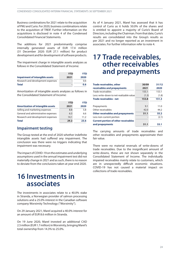<span id="page-23-0"></span>Business combinations for 2021 relate to the acquisition of PMJ and Curio. For 2020, business combinationsrelate to the acquisition of TREIF. Further information on the acquisitions is disclosed in note [4](#page-11-0) of the Condensed Consolidated Financial Statements.

The additions for 2021 predominantly comprise internally generated assets of EUR 17.4 million (31 December 2020: EUR 27.1 million) for product development and for development of software products.

The impairment charge in intangible assets analyzes as follows in the Consolidated Statement of Income:

|                                        | <b>YTD</b> | YTD  |
|----------------------------------------|------------|------|
| <b>Impairment of intangible assets</b> | 2021       | 2020 |
| Research and development expenses      |            | 0.6  |
| <b>Total</b>                           |            | 0.6  |

Amortization of intangible assets analyzes as follows in the Consolidated Statement of Income:

|                                          | <b>YTD</b> | YTD  |
|------------------------------------------|------------|------|
| <b>Amortization of intangible assets</b> | 2021       | 2020 |
| Selling and marketing expenses           | 8.8        | 5.8  |
| General and administrative expenses      | 6.3        | 6.6  |
| Research and development expenses        | 14.1       | 11.2 |
| <b>Total</b>                             | 29.2       | 23.6 |

### **Impairment testing**

The Group tested at the end of 2020 whether indefinite intangible assets had suffered any impairment. The conclusion was there were no triggers indicating that impairment was necessary.

The impact of COVID-19 on the estimates and underlying assumptions used in the annual impairment test did not materially change in 2021 and as such, there is no reason to deviate from the conclusions taken at year end 2020.

## **16 Investments in associates**

The investments in associates relate to a 40.0% stake in Stranda, a Norwegian provider of salmon processing solutions and a 25.0% interest in the Canadian software company Worximity Technology ("Worximity").

On 29 January 2021, Marel acquired a 40.0% interest for an amount of EUR 8.6 million in Stranda.

On 19 June 2020, Marel invested an additional CAD 2.5 million (EUR1.7 million) in Worximity, bringing Marel's total ownership from 14.3% to 25.0%.

As of 4 January 2021, Marel has assessed that it has control of Curio as it holds 50.0% of the shares and is entitled to appoint a majority of Curio's Board of Directors, including the Chairman. From that date, Curio's results are consolidated into the Group's results as per 2021 and no longer reported as an investment in associates. For further information refer to note 4.

## **17 Trade receivables, other receivables and prepayments**

| <b>Trade receivables, other</b>             | 30/09 | 31/12 |
|---------------------------------------------|-------|-------|
| receivables and prepayments                 | 2021  | 2020  |
| Trade receivables                           | 155.1 | 153.1 |
| Less: write-down to net-realizable value    | (1.3) | (1.8) |
| Trade receivables - net                     | 153.8 | 151.3 |
| Prepayments                                 | 9.1   | 11.0  |
| Other receivables                           | 42.0  | 44.2  |
| <b>Other receivables and prepayments</b>    | 51.1  | 55.2  |
| Less non-current portion                    |       | (2.1) |
| <b>Current portion of other receivables</b> |       |       |
| and prepayments                             | 51.1  | 53.1  |

The carrying amounts of trade receivables and other receivables and prepayments approximate their fair value.

There were no material reversals of write-downs of trade receivables. Due to the insignificant amount of write-downs, these are not shown separately in the Consolidated Statement of Income. The individually impaired receivables mainly relate to customers, which are in unexpectedly difficult economic situations. COVID-19 has not caused a material impact on collections of trade receivables.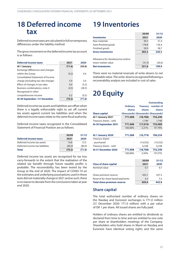## <span id="page-24-0"></span>**18 Deferred income tax**

Deferredincometaxes arecalculatedinfullontemporary differences under the liability method.

The gross movement on the deferred income tax account is as follows:

| <b>Deferred income taxes</b>            | 2021   | 2020   |
|-----------------------------------------|--------|--------|
| At 1 January                            | (71.6) | (43.6) |
| Exchange differences and changes        |        |        |
| within the Group                        | (0.2)  | 0.4    |
| <b>Consolidated Statement of Income</b> |        |        |
| charge (excluding tax rate change)      | 5.9    | 5.6    |
| Effect of changes in tax rates          | 0.0    | (5.2)  |
| Business combinations, note 4           | (4.5)  | (28.5) |
| Recognized in other                     |        |        |
| comprehensive income                    | 0.2    | (0.3)  |
| At 30 September / 31 December           | (70.2) | (71.6) |

Deferred income tax assets and liabilities are offset when there is a legally enforceable right to set off current tax assets against current tax liabilities and when the deferred income taxes relate to the same fiscal authority.

Deferred income taxes recognized in the Consolidated Statement of Financial Position are as follows:

|                                 | 30/09  | 31/12  |
|---------------------------------|--------|--------|
| <b>Deferred income taxes</b>    | 2021   | 2020   |
| Deferred income tax assets      | 14.8   | 13.3   |
| Deferred income tax liabilities | (85.0) | (84.9) |
| <b>Total</b>                    | (70.2) | (71.6) |

Deferred income tax assets are recognized for tax loss carry-forwards to the extent that the realization of the related tax benefit through future taxable profits is probable. The recoverability has been tested by the Group at the end of 2020. The impact of COVID-19 on the estimates and underlying assumptions used in these tests did not materially change in 2021 and as such, there is no reason to deviate from the conclusions taken at year end 2020.

## **19 Inventories**

|                                   | 30/09  | 31/12  |
|-----------------------------------|--------|--------|
| <b>Inventories</b>                | 2021   | 2020   |
| Raw materials                     | 44.5   | 31.4   |
| Semi-finished goods               | 178.8  | 136.4  |
| Finished goods                    | 59.9   | 58.7   |
| <b>Gross inventories</b>          | 283.2  | 226.5  |
| Allowance for obsolescence and/or |        |        |
| lower market value                | (31.4) | (26.6) |
| <b>Net inventories</b>            | 251.8  | 199.9  |

There were no material reversals of write-downs to net realizable value. The write-downs recognized following a recoverability analysis are included in cost of sales.

## **20 Equity**

|                                    |                 |                                     | <b>Outstanding</b> |
|------------------------------------|-----------------|-------------------------------------|--------------------|
|                                    | <b>Ordinary</b> | <b>Treasury</b>                     | number of          |
|                                    | shares          | shares                              | shares             |
| <b>Share capital</b>               |                 | (thousands) (thousands) (thousands) |                    |
| At 1 January 2021                  | 771,008         | (18, 768)                           | 752,240            |
| Treasury shares - sold             |                 | 1,749                               | 1,749              |
| At 30 September 2021               | 771,008         | (17, 019)                           | 753,989            |
|                                    | 100.00%         | 2.21%                               | 97.79%             |
| At 1 January 2020                  | 771,008         | (10, 774)                           | 760,234            |
| Treasury shares                    |                 |                                     |                    |
| - purchased                        |                 | (14, 332)                           | (14, 332)          |
| Treasury shares - sold             |                 | 6,338                               | 6,338              |
| At 31 December 2020                | 771,008         | (18, 768)                           | 752,240            |
|                                    | 100.00%         | 2.43%                               | 97.57%             |
|                                    |                 | 30/09                               | 31/12              |
| <b>Class of share capital</b>      |                 | 2021                                | 2020               |
| Nominal value                      |                 | 6.7                                 | 6.7                |
| Share premium reserve              |                 | 433.1                               | 437.3              |
| Reserve for share based payments   |                 | 6.3                                 | 5.5                |
| <b>Total share premium reserve</b> |                 | 439.4                               | 442.8              |
|                                    |                 |                                     |                    |

### **Share capital**

The total authorized number of ordinary shares on the Nasdaq and Euronext exchanges is 771.0 million (31 December 2020: 771.0 million) with a par value of ISK 1 per share. All issued shares are fully paid.

Holders of ordinary shares are entitled to dividends as declared from time to time and are entitled to one vote per share at shareholders meetings of the Company. Shareholders who hold shares in Marel on Nasdaq and Euronext have identical voting rights and the same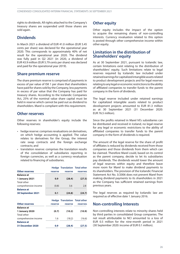rights to dividends. All rights attached to the Company's treasury shares are suspended until those shares are sold again.

### **Dividends**

In March 2021 a dividend of EUR 41.0 million (EUR 5.45 cents per share) was declared for the operational year 2020. This corresponds to approximately 40% of net result for the operational year 2020. The dividend was fully paid in Q2 2021 (in 2020, a dividend of EUR 43.9 million (EUR 5.79 cents per share) was declared and paid for the operational year 2019).

### **Share premium reserve**

The share premium reserve is comprised of payments in excess of par value of ISK 1 per share that shareholders have paid for shares sold by the Company, less payments in excess of par value that the Company has paid for treasury shares. According to the Icelandic Companies Act, 25% of the nominal value share capital must be held in reserve which cannot be paid out as dividend to shareholders. Marel is compliant with this requirement.

### **Other reserves**

Other reserves in shareholder's equity include the following reserves:

- hedge reserve: comprises revaluations on derivatives, on which hedge accounting is applied. The value relates to derivatives for the Group, the interest rate swap contracts and the foreign exchange contracts; and
- translation reserve: comprises the translation results of the consolidation of subsidiaries reporting in foreign currencies, as well as a currency revaluation related to financing of subsidiaries.

|                       |         | <b>Hedge Translation Total other</b> |          |
|-----------------------|---------|--------------------------------------|----------|
| <b>Other reserves</b> | reserve | reserve                              | reserves |
| <b>Balance at</b>     |         |                                      |          |
| 1 January 2021        | 0.9     | (28.4)                               | (27.5)   |
| <b>Total other</b>    |         |                                      |          |
| comprehensive income  | (0.8)   | 3.6                                  | 2.8      |
| <b>Balance at</b>     |         |                                      |          |
| 30 September 2021     | 0.1     | (24.8)                               | (24.7)   |
|                       |         | <b>Hedge Translation Total other</b> |          |
| <b>Other reserves</b> | reserve | reserve                              | reserves |
| <b>Balance</b> at     |         |                                      |          |
| 1 January 2020        | (0.7)   | (10.2)                               | (10.9)   |
| <b>Total other</b>    |         |                                      |          |
| comprehensive income  | 1.6     | (18.2)                               | (16.6)   |
| <b>Balance at</b>     |         |                                      |          |
| 31 December 2020      | 0.9     | (28.4)                               | (27.5)   |

### **Other equity**

Other equity includes the impact of the option to acquire the remaining shares of non-controlling interests. Currency revaluation related to this option is posted through other comprehensive income within other equity.

### **Limitation in the distribution of Shareholders' equity**

As at 30 September 2021, pursuant to Icelandic law, certain limitations exist relating to the distribution of shareholders' equity. Such limitations relate to legal reserves required by Icelandic law included under retained earnings for capitalized intangible assets related to product development projects and for legal reserves relating to any legal or economic restrictions to the ability of affiliated companies to transfer funds to the parent company in the form of dividends.

The legal reserve included under retained earnings for capitalized intangible assets related to product development projects amounted to EUR 81.3 million as at 30 September 2021 (31 December 2020: EUR 76.5 million).

Since the profits retained in Marel hf.'s subsidiaries can be distributed and received in Iceland, no legal reserve for any legal or economic restrictions to the ability of affiliated companies to transfer funds to the parent company in the form of dividends is required.

The amount of the legal reserve for the share of profit of affiliates is reduced by dividends received from those companies and those dividends from them which can be claimed. Therefore Marel could, based on its control as the parent company, decide to let its subsidiaries pay dividends. The dividends would lower the amount of legal reserves within equity and therefore leave more room for Marel to make dividend payments to its shareholders. The provision of the Icelandic Financial Statement Act No. 3/2006 does not prevent Marel from making dividend payments to its shareholders in 2021 as the Company has sufficient retained earnings from previous years.

The legal reserves as required by Icelandic law are required as of effective date 1 January 2016.

### **Non-controlling Interests**

Non-controlling interests relate to minority shares held by third parties in consolidated Group companies. The net result attributable to NCI amounted to a loss of EUR 0.5 million for the nine-month period in 2021 (30 September 2020: income of EUR 0.1 million).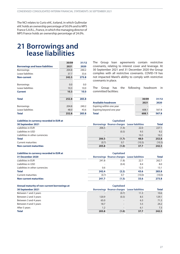<span id="page-26-0"></span>The NCI relates to Curio ehf., Iceland, in which Gullmolar ehf. holds an ownership percentage of 50.0% and to MPS France S.A.R.L., France, inwhich themanaging director of MPS France holds an ownership percentage of 24.0%.

## **21 Borrowings and lease liabilities**

|                                         | 30/09 | 31/12 |
|-----------------------------------------|-------|-------|
| <b>Borrowings and lease liabilities</b> | 2021  | 2020  |
| <b>Borrowings</b>                       | 204.8 | 240.2 |
| Lease liabilities                       | 37.7  | 33.6  |
| <b>Non-current</b>                      | 242.5 | 273.8 |
| <b>Borrowings</b>                       | 0.0   | 0.0   |
| Lease liabilities                       | 10.3  | 10.0  |
| Current                                 | 10.3  | 10.0  |
| <b>Total</b>                            | 252.8 | 283.8 |
| <b>Borrowings</b>                       | 204.8 | 240.2 |
| Lease liabilities                       | 48.0  | 43.6  |
| <b>Total</b>                            | 252.8 | 283.8 |

The Group loan agreements contain restrictive covenants, relating to interest cover and leverage. At 30 September 2021 and 31 December 2020 the Group complies with all restrictive covenants. COVID-19 has not impacted Marel's ability to comply with restrictive covenants in place.

The Group has the following headroom in committed facilities:

|                           | 30/09 | 31/12 |
|---------------------------|-------|-------|
| <b>Available headroom</b> | 2021  | 2020  |
| Expiring within one year  |       |       |
| Expiring beyond one year  | 608.1 | 567.8 |
| <b>Total</b>              | 608.1 | 567.8 |

| Liabilities in currency recorded in EUR at | <b>Capitalized</b> |
|--------------------------------------------|--------------------|
|--------------------------------------------|--------------------|

| 30 September 2021               |       | Borrowings finance charges Lease liabilities |        | <b>Total</b> |
|---------------------------------|-------|----------------------------------------------|--------|--------------|
| Liabilities in EUR              | 206.5 | (1.4)                                        | 22.0   | 227.1        |
| Liabilities in USD              |       | (0.3)                                        | 9.5    | 9.2          |
| Liabilities in other currencies |       |                                              | 16.5   | 16.5         |
| <b>Total</b>                    | 206.5 | (1.7)                                        | 48.0   | 252.8        |
| Current maturities              | (0.7) | 0.7                                          | (10.3) | (10.3)       |
| <b>Non-current maturities</b>   | 205.8 | (1.0)                                        | 37.7   | 242.5        |
|                                 |       |                                              |        |              |

| Liabilities in currency recorded in EUR at |       | <b>Capitalized</b>                           |        |              |
|--------------------------------------------|-------|----------------------------------------------|--------|--------------|
| 31 December 2020                           |       | Borrowings finance charges Lease liabilities |        | <b>Total</b> |
| Liabilities in EUR                         | 241.8 | (1.8)                                        | 22.7   | 262.7        |
| Liabilities in USD                         |       | (0.4)                                        | 8.4    | 8.0          |
| Liabilities in other currencies            | 0.6   | -                                            | 12.5   | 13.1         |
| <b>Total</b>                               | 242.4 | (2.2)                                        | 43.6   | 283.8        |
| <b>Current maturities</b>                  | (0.7) | 0.7                                          | (10.0) | (10.0)       |
| <b>Non-current maturities</b>              | 241.7 | (1.5)                                        | 33.6   | 273.8        |
|                                            |       |                                              |        |              |

| Annual maturity of non-current borrowings at |       | <b>Capitalized</b>                           |      |              |
|----------------------------------------------|-------|----------------------------------------------|------|--------------|
| 30 September 2021                            |       | Borrowings finance charges Lease liabilities |      | <b>Total</b> |
| Between 1 and 2 years                        |       | (0.7)                                        | 11.3 | 10.6         |
| Between 2 and 3 years                        | 120.9 | (0.3)                                        | 8.5  | 129.1        |
| Between 3 and 4 years                        | 65.0  | $\overline{\phantom{0}}$                     | 6.3  | 71.3         |
| Between 4 and 5 years                        | 18.7  | $\overline{\phantom{0}}$                     | 5.5  | 24.2         |
| After 5 years                                | 1.2   | $\overline{\phantom{0}}$                     | 6.1  | 7.3          |
| <b>Total</b>                                 | 205.8 | (1.0)                                        | 37.7 | 242.5        |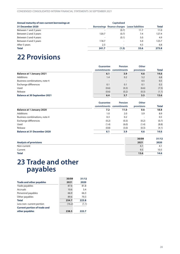<span id="page-27-0"></span>

| Annual maturity of non-current borrowings at |       | <b>Capitalized</b>                           |      |              |
|----------------------------------------------|-------|----------------------------------------------|------|--------------|
| 31 December 2020                             |       | Borrowings finance charges Lease liabilities |      | <b>Total</b> |
| Between 1 and 2 years                        |       | (0.7)                                        | 11.7 | 11.0         |
| Between 2 and 3 years                        | 120.7 | (0.7)                                        | 7.4  | 127.4        |
| Between 3 and 4 years                        |       | (0.1)                                        | 5.0  | 4.9          |
| Between 4 and 5 years                        | 118.7 | $\overline{\phantom{a}}$                     | 5.0  | 123.7        |
| After 5 years                                | 2.3   |                                              | 4.5  | 6.8          |
| <b>Total</b>                                 | 241.7 | (1.5)                                        | 33.6 | 273.8        |

## **22 Provisions**

|                                     | Guarantee<br>commitments | <b>Pension</b><br>commitments | <b>Other</b><br>provisions | <b>Total</b> |
|-------------------------------------|--------------------------|-------------------------------|----------------------------|--------------|
|                                     |                          |                               |                            |              |
| <b>Balance at 1 January 2021</b>    | 6.1                      | 3.9                           | 4.6                        | 14.6         |
| <b>Additions</b>                    | 1.4                      | 0.2                           | 5.2                        | 6.8          |
| Business combinations, note 4       |                          | $\overline{\phantom{a}}$      | 0.5                        | 0.5          |
| Exchange differences                | 0.1                      | 0.1                           | 0.1                        | 0.3          |
| Used                                | (0.6)                    | (0.3)                         | (6.6)                      | (7.5)        |
| Release                             | (0.6)                    | (0.2)                         | (0.3)                      | (1.1)        |
| <b>Balance at 30 September 2021</b> | 6.4                      | 3.7                           | 3.5                        | 13.6         |

|                                    | <b>Guarantee</b><br>commitments commitments | <b>Pension</b> | <b>Other</b><br>provisions | <b>Total</b> |
|------------------------------------|---------------------------------------------|----------------|----------------------------|--------------|
|                                    |                                             |                |                            |              |
| <b>Balance at 1 January 2020</b>   | 7.2                                         | 11.0           | 0.6                        | 18.8         |
| <b>Additions</b>                   | 1.0                                         | 2.0            | 5.9                        | 8.9          |
| Business combinations, note 4      | 0.3                                         | 0.2            | -                          | 0.5          |
| Exchange differences               | (0.2)                                       | (0.3)          | (0.2)                      | (0.7)        |
| Used                               | (1.4)                                       | (6.0)          | (1.4)                      | (8.8)        |
| Release                            | (0.8)                                       | (3.0)          | (0.3)                      | (4.1)        |
| <b>Balance at 31 December 2020</b> | 6.1                                         | 3.9            | 4.6                        | 14.6         |

|                               | 30/09 | 31/12 |
|-------------------------------|-------|-------|
| <b>Analysis of provisions</b> | 2021  | 2020  |
| Non-current                   | 4.1   | 4.1   |
| Current                       | 9.5   | 10.5  |
| <b>Total</b>                  | 13.6  | 14.6  |

## **23 Trade and other payables**

|                                     | 30/09  | 31/12 |
|-------------------------------------|--------|-------|
| <b>Trade and other payables</b>     | 2021   | 2020  |
| Trade payables                      | 87.6   | 81.8  |
| Accruals                            | 10.6   | 5.4   |
| Personnel payables                  | 66.9   | 66.3  |
| Other payables                      | 89.6   | 70.3  |
| <b>Total</b>                        | 254.7  | 223.8 |
| Less non-current portion            | (16.2) | (1.1) |
| <b>Current portion of trade and</b> |        |       |
| other payables                      | 238.5  | 222.7 |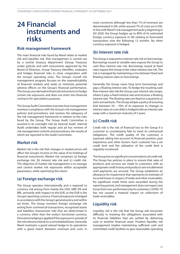## <span id="page-28-0"></span>**24 Financial instruments and risks**

### **Risk management framework**

The main financial risks faced by Marel relate to market risk and liquidity risk. Risk management is carried out by a central treasury department (Group Treasury) under policies and with instruments approved by the Board of Directors. Group Treasury identifies, evaluates and hedges financial risks in close cooperation with the Group's operating units. The Group's overall risk management program focuses on the unpredictability of financial markets and seeks to minimize potential adverse effects on the Group's financial performance. The Group uses derivative financial instruments to hedge certain risk exposures and does not enter into financial contracts for speculative purposes.

The Group Audit Committee oversees how management monitors compliance with the Group's risk management policies and procedures, and reviews the adequacy of the risk management framework in relation to the risks faced by the Group. The Group Audit Committee is assisted in its oversight role by Internal Audit. Internal Audit undertakes both regular and ad hoc reviews of riskmanagement controls and procedures, the results of which are reported to the Audit Committee.

### **Market risk**

Market risk is the risk that changes in market prices will affect the Group's income or the value of its holdings of financial instruments. Market risk comprises (a) foreign exchange risk, (b) interest rate risk and (c) credit risk. The objective of market risk management is to manage and control market risk exposures within acceptable parameters, while optimizing the return.

### **(a) Foreign exchange risk**

The Group operates internationally and is exposed to currency risk arising from mainly the USD, GBP, ISK and BRL, primarily with respect to the EUR, as the EUR is the Group's reporting currency. Financial exposure is hedged in accordance with theGroup's general policy and within set limits. The Group monitors foreign exchange risk arising from commercial transactions, recognized assets and liabilities (transaction risk) that are determined in a currency other than the entity's functional currency. Derivative hedging is applied if the exposure is outside of the risk tolerance band on a consolidated basis. Generally Marel maintains a good natural hedge in its operations with a good match between revenues and costs in

most currencies although less than 1% of revenues are denominated in ISK, while around 7% of costs are in ISK. In line with Marel's risk management policy beginning in Q4 2020, the Group hedges up to 80% of its estimated foreign currency exposure in ISK relating to forecasted transactions over the following 12 months. No other currency exposure is hedged.

### **(b) Interest rate risk**

The Group is exposed to interest rate risk on borrowings. Borrowings issued at variable rates expose the Group to cash flow interest rate risk. Borrowings issued at fixed rates expose the Group to fair value interest rate risk. The risk is managed by maintaining a mix between fixed and floating interest rates on borrowings.

Generally the Group raises long term borrowings and pays a floating interest rate. To hedge the resulting cash flow interest rate risk the Group uses interest rate swaps, where it pays a fixed interest rate and receives a floating interest rate. The floating rates are fixed on a quarterly or semi-annual basis. The Group adopts a policy of ensuring that between 50 – 70% of its exposure to changes in interest rates on core debt is hedged with an interest rate swap with a maximum maturity of 5 years.

### **(c) Credit risk**

Credit risk is the risk of financial loss to the Group if a customer or counterparty fails to meet its contractual obligations. The credit quality of the customer is assessed, taking into account its financial position, past experience and other factors. Each customer has a set credit limit and the utilization of the credit limit is regularly monitored.

The Group has no significant concentrations of credit risk. The Group has policies in place to ensure that sales of products and services are made to customers with an appropriate credit history and products are not delivered until payments are secured. The Group establishes an allowance for impairment that represents its estimate of incurred losses in respect of trade and other receivables. No significant credit limits were exceeded during the reporting period, and management does not expect any losses from non-performance by its customers. COVID-19 has not caused a material impact on collections of trade receivables.

### **Liquidity risk**

Liquidity risk is the risk that the Group will encounter difficulty in meeting the obligations associated with its financial liabilities that are settled by delivering cash or another financial asset. Prudent liquidity risk management implies maintaining sufficient cash and committed credit facilities to give reasonable operating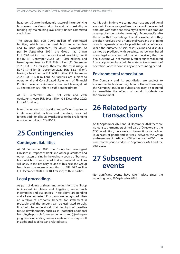<span id="page-29-0"></span>headroom. Due to the dynamic nature of the underlying businesses, the Group aims to maintain flexibility in funding by maintaining availability under committed credit lines.

The Group has EUR 700.0 million of committed facilities, which can be used both as a revolver and to issue guarantees for down payments. As per 30 September 2021, the Group had drawn EUR 65.0 million on the syndicated revolving credit facility (31 December 2020: EUR 100.0 million), and issued guarantees for EUR 26.9 million (31 December 2020: EUR 32.2 million), therefore the total usage is EUR 91.9 million (31 December 2020: EUR 132.2 million), leaving a headroom of EUR 608.1 million (31 December 2020: EUR 567.8 million). All facilities are subject to operational and Consolidated Statement of Financial Position covenants (interest cover and leverage). At 30 September 2021 there is sufficient headroom.

At 30 September 2021, net cash and cash equivalents were EUR 66.2 million (31 December 2020: EUR 78.6 million).

Marel has a strong cash position and sufficient headroom in its committed facilities and therefore, does not foresee additional liquidity risks despite the challenging environment due to COVID-19.

## **25 Contingencies**

### **Contingent liabilities**

At 30 September 2021 the Group had contingent liabilities in respect of bank and other guarantees and other matters arising in the ordinary course of business from which it is anticipated that no material liabilities will arise. In the ordinary course of business the Group has given guarantees amounting to EUR 40.7 million (31 December 2020: EUR 48.3 million) to third parties.

### **Legal proceedings**

As part of doing business and acquisitions the Group is involved in claims and litigations, under such indemnities and guarantees. These claims are pending and all are contested. Provisions are recognized when an outflow of economic benefits for settlement is probable and the amount can be estimated reliably. It should be understood that, in light of possible future developments, such as (a) potential additional lawsuits, (b) possible future settlements, and (c) rulings or judgments in pending lawsuits, certain cases may result in additional liabilities and related costs.

At this point in time, we cannot estimate any additional amount of loss or range of loss in excess of the recorded amounts with sufficient certainty to allow such amount orrangeofamountstobemeaningful.Moreover,ifandto the extent that the contingent liabilities materialize, they are often resolved over a number of years and the timing of such payments cannot be predicted with confidence. While the outcome of said cases, claims and disputes cannot be predicted with certainty, we believe, based upon legal advice and information received, that the final outcome will not materially affect our consolidated financial position but could be material to our results of operations or cash flows in any one accounting period.

### **Environmental remediation**

The Company and its subsidiaries are subject to environmental laws and regulations. Under these laws, the Company and/or its subsidiaries may be required to remediate the effects of certain incidents on the environment.

## **26 Related party transactions**

At 30 September 2021 and 31 December 2020 there are noloanstothemembersoftheBoardofDirectorsandthe CEO. In addition, there were no transactions carried out (purchases of goods and services) between the Group and members of the Board of Directors nor the CEO in the nine-month period ended 30 September 2021 and the year 2020.

### **27 Subsequent events**

No significant events have taken place since the reporting date, 30 September 2021.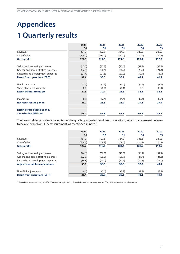## <span id="page-30-0"></span>**Appendices 1 Quarterly results**

|                                         | 2021           | 2021           | 2021           | 2020    | 2020           |
|-----------------------------------------|----------------|----------------|----------------|---------|----------------|
|                                         | Q <sub>3</sub> | Q <sub>2</sub> | Q <sub>1</sub> | Q4      | Q <sub>3</sub> |
| Revenues                                | 331.9          | 327.5          | 334.0          | 343.3   | 287.2          |
| Cost of sales                           | (209.0)        | (210.0)        | (212.2)        | (217.9) | (174.7)        |
| <b>Gross profit</b>                     | 122.9          | 117.5          | 121.8          | 125.4   | 112.5          |
| Selling and marketing expenses          | (47.2)         | (42.3)         | (42.6)         | (39.2)  | (32.8)         |
| General and administrative expenses     | (22.9)         | (20.4)         | (26.9)         | (23.7)  | (21.4)         |
| Research and development expenses       | (21.4)         | (21.8)         | (22.2)         | (19.4)  | (16.9)         |
| <b>Result from operations (EBIT)</b>    | 31.4           | 33.0           | 30.1           | 43.1    | 41.4           |
| Net finance costs                       | (2.1)          | (1.9)          | (4.4)          | (4.9)   | (3.2)          |
| Share of result of associates           | 0.0            | (0.4)          | (0.1)          | 0.3     | (0.1)          |
| <b>Result before income tax</b>         | 29.3           | 30.7           | 25.6           | 38.5    | 38.1           |
| Income tax                              | (6.1)          | (7.4)          | (4.4)          | (9.4)   | (8.7)          |
| Net result for the period               | 23.2           | 23.3           | 21.2           | 29.1    | 29.4           |
| <b>Result before depreciation &amp;</b> |                |                |                |         |                |
| amortization (EBITDA)                   | 48.0           | 49.8           | 47.3           | 62.3    | 55.7           |

The below tables provides an overview of the quarterly adjusted result from operations, which management believes to be a relevant Non-IFRS measurement, as mentioned in note [5.](#page-13-0)

|                                              | 2021           | 2021           | 2021           | 2020    | 2020           |
|----------------------------------------------|----------------|----------------|----------------|---------|----------------|
|                                              | Q <sub>3</sub> | Q <sub>2</sub> | Q <sub>1</sub> | Q4      | Q <sub>3</sub> |
| Revenues                                     | 331.9          | 327.5          | 334.0          | 343.3   | 287.2          |
| Cost of sales                                | (208.7)        | (208.9)        | (209.6)        | (214.8) | (174.7)        |
| <b>Gross profit</b>                          | 123.2          | 118.6          | 124.4          | 128.5   | 112.5          |
| Selling and marketing expenses               | (44.6)         | (39.8)         | (40.0)         | (36.7)  | (31.1)         |
| General and administrative expenses          | (22.8)         | (20.2)         | (25.7)         | (21.7)  | (21.3)         |
| Research and development expenses            | (19.8)         | (20.0)         | (20.7)         | (17.8)  | (16.0)         |
| Adjusted result from operations <sup>1</sup> | 36.0           | 38.6           | 38.0           | 52.3    | 44.1           |
| Non-IFRS adjustments                         | (4.6)          | (5.6)          | (7.9)          | (9.2)   | (2.7)          |
| <b>Result from operations (EBIT)</b>         | 31.4           | 33.0           | 30.1           | 43.1    | 41.4           |

1 Result from operations is adjusted for PPA related costs, including depreciation and amortization, and as of Q4 2020, acquisition related expenses.